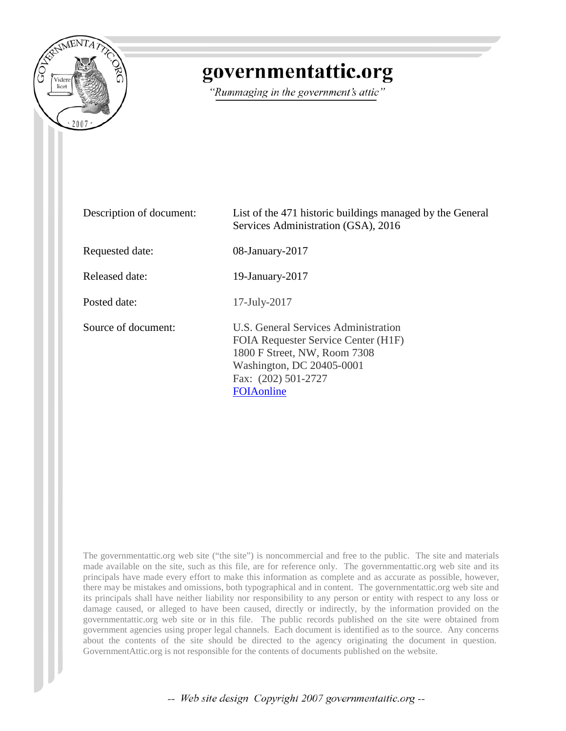

## governmentattic.org

"Rummaging in the government's attic"

| Description of document: | List of the 471 historic buildings managed by the General<br>Services Administration (GSA), 2016                                                                                      |
|--------------------------|---------------------------------------------------------------------------------------------------------------------------------------------------------------------------------------|
| Requested date:          | 08-January-2017                                                                                                                                                                       |
| Released date:           | 19-January-2017                                                                                                                                                                       |
| Posted date:             | $17$ -July- $2017$                                                                                                                                                                    |
| Source of document:      | U.S. General Services Administration<br>FOIA Requester Service Center (H1F)<br>1800 F Street, NW, Room 7308<br>Washington, DC 20405-0001<br>Fax: (202) 501-2727<br><b>FOIA</b> online |

The governmentattic.org web site ("the site") is noncommercial and free to the public. The site and materials made available on the site, such as this file, are for reference only. The governmentattic.org web site and its principals have made every effort to make this information as complete and as accurate as possible, however, there may be mistakes and omissions, both typographical and in content. The governmentattic.org web site and its principals shall have neither liability nor responsibility to any person or entity with respect to any loss or damage caused, or alleged to have been caused, directly or indirectly, by the information provided on the governmentattic.org web site or in this file. The public records published on the site were obtained from government agencies using proper legal channels. Each document is identified as to the source. Any concerns about the contents of the site should be directed to the agency originating the document in question. GovernmentAttic.org is not responsible for the contents of documents published on the website.

-- Web site design Copyright 2007 governmentattic.org --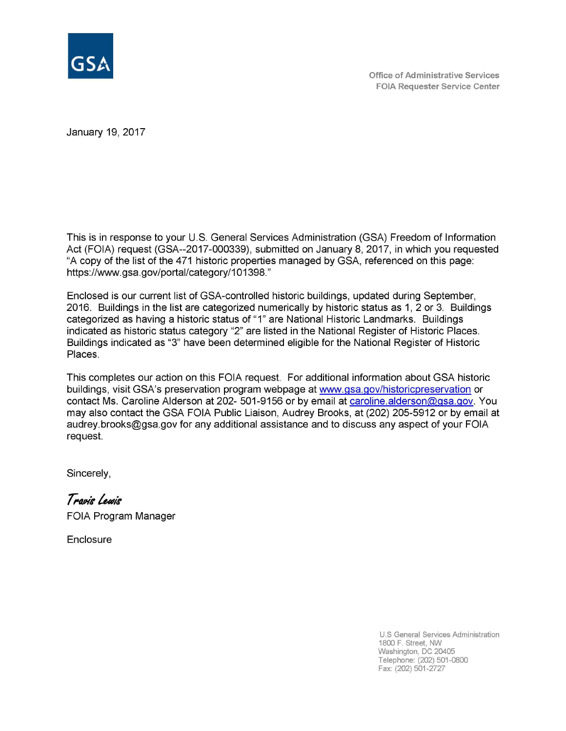

January 19, 2017

This is in response to your U.S. General Services Administration (GSA) Freedom of Information Act (FOIA) request (GSA--2017-000339), submitted on January 8, 2017, in which you requested "A copy of the list of the 471 historic properties managed by GSA, referenced on this page: https://www.gsa.gov/portal/category/101398."

Enclosed is our current list of GSA-controlled historic buildings, updated during September, 2016. Buildings in the list are categorized numerically by historic status as 1, 2 or 3. Buildings categorized as having a historic status of "1" are National Historic Landmarks. Buildings indicated as historic status category "2" are listed in the National Register of Historic Places. Buildings indicated as "3" have been determined eligible for the National Register of Historic Places.

This completes our action on this FOIA request. For additional information about GSA historic buildings, visit GSA's preservation program webpage at www.gsa.gov/historicpreservation or contact Ms. Caroline Alderson at 202- 501-9156 or by email at caroline.alderson@gsa.gov. You may also contact the GSA FOIA Public Liaison, Audrey Brooks, at (202) 205-5912 or by email at audrey.brooks@gsa.gov for any additional assistance and to discuss any aspect of your FOIA request.

Sincerely,

*T* ~'41 *luN1'4'* 

FOIA Program Manager

**Enclosure** 

U.S General Services Administration 1800 F. Street, NW Washington, DC 20405 Telephone: (202) 501-0800 Fax: (202) 501-2727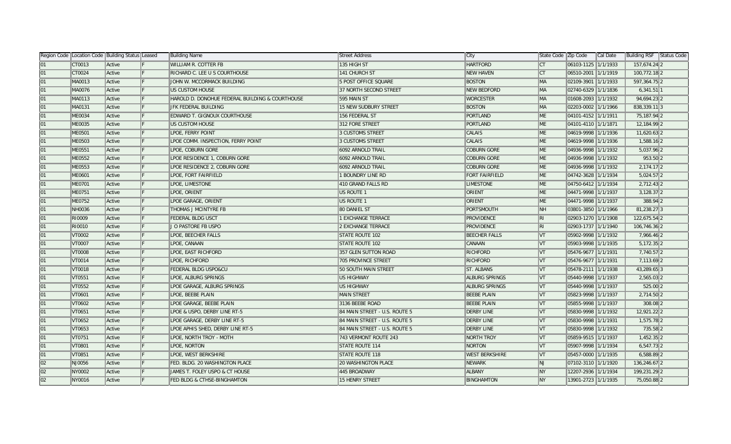|    | Region Code   Location Code   Building Status   Leased |        |   | Building Name                                   | Street Address                | ∥City                 | State Code   Zip Code   |                       | ∥Cal Date | Building RSF Status Code |
|----|--------------------------------------------------------|--------|---|-------------------------------------------------|-------------------------------|-----------------------|-------------------------|-----------------------|-----------|--------------------------|
| 01 | CT0013                                                 | Active |   | <b>WILLIAM R. COTTER FB</b>                     | 135 HIGH ST                   | <b>HARTFORD</b>       | $\mathsf{ICT}$          | 06103-1125 1/1/1933   |           | 157,674.24 2             |
| 01 | CT0024                                                 | Active | F | RICHARD C. LEE U S COURTHOUSE                   | 141 CHURCH ST                 | <b>NEW HAVEN</b>      | $\mathsf{ICT}$          | 06510-2001 1/1/1919   |           | 100,772.18 2             |
| 01 | MA0013                                                 | Active | F | JOHN W. MCCORMACK BUILDING                      | 5 POST OFFICE SQUARE          | <b>BOSTON</b>         | <b>IMA</b>              | 02109-3901 1/1/1933   |           | 597,364.75 2             |
| 01 | MA0076                                                 | Active | F | US CUSTOM HOUSE                                 | 37 NORTH SECOND STREET        | <b>NEW BEDFORD</b>    | MA                      | 02740-6329 1/1/1836   |           | $6,341.51$ 1             |
| 01 | MA0113                                                 | Active |   | HAROLD D. DONOHUE FEDERAL BUILDING & COURTHOUSE | 595 MAIN ST                   | <b>WORCESTER</b>      | <b>MA</b>               | 01608-2093 1/1/1932   |           | 94,694.23 2              |
| 01 | MA0131                                                 | Active |   | JFK FEDERAL BUILDING                            | 15 NEW SUDBURY STREET         | <b>BOSTON</b>         | <b>MA</b>               | 02203-0002 1/1/1966   |           | 838,339.11 3             |
| 01 | ME0034                                                 | Active |   | EDWARD T. GIGNOUX COURTHOUSE                    | 156 FEDERAL ST                | <b>PORTLAND</b>       | $\parallel$ ME          | 04101-4152   1/1/1911 |           | 75,187.94 2              |
| 01 | <b>ME0035</b>                                          | Active |   | US CUSTOM HOUSE                                 | 312 FORE STREET               | <b>PORTLAND</b>       | M <sub>E</sub>          | 04101-4110 1/1/1871   |           | 12,184.99 2              |
| 01 | ME0501                                                 | Active |   | LPOE, FERRY POINT                               | 3 CUSTOMS STREET              | CALAIS                | ME                      | 04619-9998 1/1/1936   |           | 11,620.63 2              |
| 01 | ME0503                                                 | Active |   | LPOE COMM. INSPECTION, FERRY POINT              | 3 CUSTOMS STREET              | CALAIS                | $\parallel$ ME          | 04619-9998 1/1/1936   |           | 1,588.16 2               |
| 01 | ME0551                                                 | Active |   | LPOE, COBURN GORE                               | 6092 ARNOLD TRAIL             | <b>COBURN GORE</b>    | M <sub>E</sub>          | 04936-9998 1/1/1932   |           | 5,037.96 2               |
| 01 | <b>ME0552</b>                                          | Active |   | LPOE RESIDENCE 1, COBURN GORE                   | 6092 ARNOLD TRAIL             | <b>COBURN GORE</b>    | ME <sup></sup>          | 04936-9998 1/1/1932   |           | $953.50$   2             |
| 01 | ME0553                                                 | Active |   | LPOE RESIDENCE 2, COBURN GORE                   | 6092 ARNOLD TRAIL             | <b>COBURN GORE</b>    | ME                      | 04936-9998 1/1/1932   |           | $2,174.17$ 2             |
| 01 | <b>ME0601</b>                                          | Active |   | LPOE, FORT FAIRFIELD                            | <b>1 BOUNDRY LINE RD</b>      | <b>FORT FAIRFIELD</b> | ME <sup></sup>          | 04742-3628 1/1/1934   |           | $5,024.57$  2            |
| 01 | <b>ME0701</b>                                          | Active |   | LPOE, LIMESTONE                                 | 410 GRAND FALLS RD            | <b>LIMESTONE</b>      | ME <sup></sup>          | 04750-6412 1/1/1934   |           | $2,712.43$  2            |
| 01 | ME0751                                                 | Active |   | LPOE, ORIENT                                    | US ROUTE 1                    | ORIENT                | ME <sup></sup>          | 04471-9998 1/1/1937   |           | $3,128.37$ 2             |
| 01 | <b>ME0752</b>                                          | Active |   | LPOE GARAGE, ORIENT                             | US ROUTE 1                    | <b>ORIENT</b>         | <b>IME</b>              | 04471-9998 1/1/1937   |           | 388.94 2                 |
| 01 | NH0036                                                 | Active |   | THOMAS J MCINTYRE FB                            | 80 DANIEL ST                  | PORTSMOUTH            | NH                      | 03801-3850 1/1/1966   |           | 81,238.273               |
| 01 | RI0009                                                 | Active |   | FEDERAL BLDG USCT                               | 1 EXCHANGE TERRACE            | <b>PROVIDENCE</b>     | ∥RI                     | 02903-1270 1/1/1908   |           | 122,675.54 2             |
| 01 | RI0010                                                 | Active |   | J O PASTORE FB USPO                             | 2 EXCHANGE TERRACE            | <b>PROVIDENCE</b>     | ∥RI                     | 02903-1737 1/1/1940   |           | 106,746.36 2             |
| 01 | VT0002                                                 | Active |   | LPOE, BEECHER FALLS                             | <b>STATE ROUTE 102</b>        | <b>BEECHER FALLS</b>  | $\mathsf{IV}$           | 05902-9998  1/1/1932  |           | 7,966.46 2               |
| 01 | VT0007                                                 | Active |   | LPOE, CANAAN                                    | <b>STATE ROUTE 102</b>        | CANAAN                | $\mathsf{V}\mathsf{T}$  | 05903-9998 1/1/1935   |           | $5,172.35$  2            |
| 01 | VT0008                                                 | Active |   | LPOE, EAST RICHFORD                             | 357 GLEN SUTTON ROAD          | <b>RICHFORD</b>       | VT                      | 05476-9677 1/1/1931   |           | 7,740.57 2               |
| 01 | VT0014                                                 | Active |   | LPOE, RICHFORD                                  | 705 PROVINCE STREET           | <b>RICHFORD</b>       | IVT                     | 05476-9677 1/1/1931   |           | 7,113.69 2               |
| 01 | VT0018                                                 | Active |   | FEDERAL BLDG USPO&CU                            | 50 SOUTH MAIN STREET          | ST. ALBANS            | $\ V\ $                 | 05478-2111 1/1/1938   |           | 43,289.65 3              |
| 01 | VT0551                                                 | Active |   | LPOE, ALBURG SPRINGS                            | US HIGHWAY                    | <b>ALBURG SPRINGS</b> | VT                      | 05440-9998 1/1/1937   |           | $2,565.03$  2            |
| 01 | VT0552                                                 | Active |   | LPOE GARAGE, ALBURG SPRINGS                     | US HIGHWAY                    | <b>ALBURG SPRINGS</b> | IVT                     | 05440-9998 1/1/1937   |           | 525.00 2                 |
| 01 | VT0601                                                 | Active |   | LPOE, BEEBE PLAIN                               | MAIN STREET                   | <b>BEEBE PLAIN</b>    | $\mathsf{V}\mathsf{T}$  | 05823-9998 1/1/1937   |           | 2,714.50 2               |
| 01 | VT0602                                                 | Active |   | LPOE GARAGE, BEEBE PLAIN                        | 3136 BEEBE ROAD               | <b>BEEBE PLAIN</b>    | VT                      | 05855-9998 1/1/1937   |           | 308.08 2                 |
| 01 | VT0651                                                 | Active |   | LPOE & USPO, DERBY LINE RT-5                    | 84 MAIN STREET - U.S. ROUTE 5 | <b>DERBY LINE</b>     | $\mathsf{IV}$           | 05830-9998 1/1/1932   |           | 12,921.22 2              |
| 01 | VT0652                                                 | Active |   | LPOE GARAGE, DERBY LINE RT-5                    | 84 MAIN STREET - U.S. ROUTE 5 | <b>DERBY LINE</b>     | $\overline{\mathsf{V}}$ | 05830-9998 1/1/1931   |           | 1,575.78 2               |
| 01 | VT0653                                                 | Active |   | LPOE APHIS SHED, DERBY LINE RT-5                | 84 MAIN STREET - U.S. ROUTE 5 | <b>DERBY LINE</b>     | VT                      | 05830-9998 1/1/1932   |           | 735.58 2                 |
| 01 | VT0751                                                 | Active |   | LPOE, NORTH TROY - MOTH                         | 743 VERMONT ROUTE 243         | NORTH TROY            | VT                      | 05859-9515 1/1/1937   |           | 1,452.35 2               |
| 01 | VT0801                                                 | Active |   | LPOE, NORTON                                    | <b>STATE ROUTE 114</b>        | NORTON                | $\mathsf{IV}$           | 05907-9998 1/1/1934   |           | $6,547.73$ 2             |
| 01 | VT0851                                                 | Active |   | LPOE, WEST BERKSHIRE                            | <b>STATE ROUTE 118</b>        | <b>WEST BERKSHIRE</b> | VT                      | 05457-0000 1/1/1935   |           | $6,588.89$  2            |
| 02 | NJ0056                                                 | Active |   | FED. BLDG. 20 WASHINGTON PLACE                  | <b>20 WASHINGTON PLACE</b>    | <b>NEWARK</b>         | INJ                     | 07102-3110 1/1/1920   |           | 136,246.67 2             |
| 02 | NY0002                                                 | Active |   | JAMES T. FOLEY USPO & CT HOUSE                  | 445 BROADWAY                  | <b>ALBANY</b>         | <b>NY</b>               | 12207-2936 1/1/1934   |           | 199,231.29 2             |
| 02 | NY0016                                                 | Active |   | FED BLDG & CTHSE-BINGHAMTON                     | 15 HENRY STREET               | <b>BINGHAMTON</b>     | <b>NY</b>               | 13901-2723 1/1/1935   |           | 75,050.88 2              |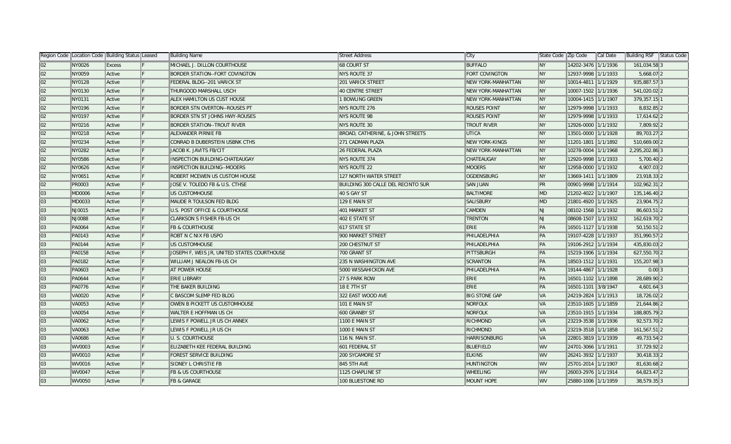|    | Region Code   Location Code   Building Status   Leased |               |     | Building Name                               | Street Address                     | ∣City                     | State Code Zip Code |                     | Cal Date | <b>Building RSF</b> | Status Code |
|----|--------------------------------------------------------|---------------|-----|---------------------------------------------|------------------------------------|---------------------------|---------------------|---------------------|----------|---------------------|-------------|
| 02 | NY0026                                                 | <b>Excess</b> |     | MICHAEL J. DILLON COURTHOUSE                | <b>68 COURT ST</b>                 | <b>BUFFALO</b>            | $\ $ NY             | 14202-3476 1/1/1936 |          | 161,034.58 3        |             |
| 02 | NY0059                                                 | Active        |     | <b>BORDER STATION--FORT COVINGTON</b>       | <b>NYS ROUTE 37</b>                | FORT COVINGTON            | ∥NY                 | 12937-9998 1/1/1933 |          | 5,668.07 2          |             |
| 02 | NY0128                                                 | Active        |     | FEDERAL BLDG--201 VARICK ST                 | <b>201 VARICK STREET</b>           | <b>NEW YORK-MANHATTAN</b> | ∥NY                 | 10014-4811 1/1/1929 |          | 935,887.57 3        |             |
| 02 | NY0130                                                 | Active        | IF. | THURGOOD MARSHALL USCH                      | 40 CENTRE STREET                   | <b>NEW YORK-MANHATTAN</b> | ∥NY                 | 10007-1502 1/1/1936 |          | 541,020.02 2        |             |
| 02 | NY0131                                                 | Active        | IF. | ALEX HAMILTON US CUST HOUSE                 | 1 BOWLING GREEN                    | <b>NEW YORK-MANHATTAN</b> | ∥NY                 | 10004-1415 1/1/1907 |          | 379,357.15 1        |             |
| 02 | NY0196                                                 | Active        |     | <b>BORDER STN OVERTON--ROUSES PT</b>        | NYS ROUTE 276                      | <b>ROUSES POINT</b>       | ∥NY                 | 12979-9998 1/1/1933 |          | 8,832.85 2          |             |
| 02 | NY0197                                                 | Active        |     | <b>BORDER STN ST JOHNS HWY-ROUSES</b>       | NYS ROUTE 9B                       | <b>ROUSES POINT</b>       | ∥NY                 | 12979-9998 1/1/1933 |          | 17,614.62 2         |             |
| 02 | NY0216                                                 | Active        |     | <b>BORDER STATION--TROUT RIVER</b>          | NYS ROUTE 30                       | <b>TROUT RIVER</b>        | <b>NY</b>           | 12926-0000 1/1/1932 |          | 7,809.92 2          |             |
| 02 | NY0218                                                 | Active        |     | ALEXANDER PIRNIE FB                         | BROAD, CATHERINE, & JOHN STREETS   | <b>UTICA</b>              | ∥NY                 | 13501-0000 1/1/1928 |          | 89,703.27 2         |             |
| 02 | NY0234                                                 | Active        |     | CONRAD B DUBERSTEIN USBNK CTHS              | 271 CADMAN PLAZA                   | <b>NEW YORK-KINGS</b>     | ∥NY                 | 11201-1801 1/1/1892 |          | 510,669.00 2        |             |
| 02 | NY0282                                                 | Active        |     | JACOB K. JAVITS FB/CIT                      | 26 FEDERAL PLAZA                   | <b>NEW YORK-MANHATTAN</b> | ∥NY                 | 10278-0004 1/1/1968 |          | 2,295,202.86 3      |             |
| 02 | NY0586                                                 | Active        |     | INSPECTION BUILDING-CHATEAUGAY              | NYS ROUTE 374                      | <b>CHATEAUGAY</b>         | ∥NY                 | 12920-9998 1/1/1933 |          | $5,700.40$  2       |             |
| 02 | NY0626                                                 | Active        |     | INSPECTION BUILDING--MOOERS                 | NYS ROUTE 22                       | <b>MOOERS</b>             | ∥NY                 | 12958-0000 1/1/1932 |          | 4,907.03 2          |             |
| 02 | NY0651                                                 | Active        |     | <b>ROBERT MCEWEN US CUSTOM HOUSE</b>        | 127 NORTH WATER STREET             | OGDENSBURG                | <b>NY</b>           | 13669-1411 1/1/1809 |          | 23,918.33 2         |             |
| 02 | PR0003                                                 | Active        |     | JOSE V. TOLEDO FB & U.S. CTHSE              | BUILDING 300 CALLE DEL RECINTO SUR | <b>SAN JUAN</b>           | PR                  | 00901-9998 1/1/1914 |          | 102,962.31 2        |             |
| 03 | <b>MD0006</b>                                          | Active        | IF. | US CUSTOMHOUSE                              | 40 S GAY ST                        | <b>BALTIMORE</b>          | MD                  | 21202-4022 1/1/1907 |          | 135,146.40 2        |             |
| 03 | MD0033                                                 | Active        | IF. | MAUDE R TOULSON FED BLDG                    | 129 E MAIN ST                      | <b>SALISBURY</b>          | MD                  | 21801-4920 1/1/1925 |          | 23,904.75 2         |             |
| 03 | NJ0015                                                 | Active        |     | <b>U.S. POST OFFICE &amp; COURTHOUSE</b>    | 401 MARKET ST                      | CAMDEN                    | NJ                  | 08102-1568 1/1/1932 |          | 86,603.51 2         |             |
| 03 | NJ0088                                                 | Active        |     | <b>CLARKSON S FISHER FB-US CH</b>           | 402 E STATE ST                     | TRENTON                   | NJ.                 | 08608-1507 1/1/1932 |          | 162,619.70 2        |             |
| 03 | PA0064                                                 | Active        |     | <b>FB &amp; COURTHOUSE</b>                  | 617 STATE ST                       | ERIE                      | PA                  | 16501-1127 1/1/1938 |          | 50,150.51 2         |             |
| 03 | PA0143                                                 | Active        |     | ROBT N C NIX FB USPO                        | 900 MARKET STREET                  | PHILADELPHIA              | ∥PA                 | 19107-4228 1/1/1937 |          | 351,990.57 2        |             |
| 03 | PA0144                                                 | Active        |     | US CUSTOMHOUSE                              | <b>200 CHESTNUT ST</b>             | PHILADELPHIA              | PA                  | 19106-2912 1/1/1934 |          | 435,830.03 2        |             |
| 03 | PA0158                                                 | Active        |     | JOSEPH F, WEIS JR, UNITED STATES COURTHOUSE | 700 GRANT ST                       | PITTSBURGH                | PA                  | 15219-1906 1/1/1934 |          | 627,550.70 2        |             |
| 03 | <b>PA0182</b>                                          | Active        |     | WILLIAM J NEALON FB-US CH                   | 235 N WASHINGTON AVE               | <b>SCRANTON</b>           | PA                  | 18503-1512 1/1/1931 |          | 155,207.98 3        |             |
| 03 | PA0603                                                 | Active        |     | <b>AT POWER HOUSE</b>                       | 5000 WISSAHICKON AVE               | PHILADELPHIA              | PA                  | 19144-4867 1/1/1928 |          | $0.00$ 3            |             |
| 03 | <b>PA0644</b>                                          | Active        |     | <b>ERIE LIBRARY</b>                         | 27 S PARK ROW                      | ERIE                      | PA                  | 16501-1102 1/1/1898 |          | 28,689.90 2         |             |
| 03 | <b>PA0776</b>                                          | Active        | IF. | THE BAKER BUILDING                          | 18 E 7TH ST                        | <b>ERIE</b>               | PA                  | 16501-1101 3/8/1947 |          | $4,601.64$ 3        |             |
| 03 | <b>VA0020</b>                                          | Active        |     | C BASCOM SLEMP FED BLDG                     | 322 EAST WOOD AVE                  | <b>BIG STONE GAP</b>      | VA                  | 24219-2824 1/1/1913 |          | 18,726.02 2         |             |
| 03 | VA0053                                                 | Active        |     | OWEN B PICKETT US CUSTOMHOUSE               | 101 E MAIN ST                      | <b>NORFOLK</b>            | VA                  | 23510-1605 1/1/1859 |          | 21,644.86 2         |             |
| 03 | VA0054                                                 | Active        |     | WALTER E HOFFMAN US CH                      | 600 GRANBY ST                      | <b>NORFOLK</b>            | VA                  | 23510-1915 1/1/1934 |          | 188,805.79 2        |             |
| 03 | <b>VA0062</b>                                          | Active        |     | LEWIS F POWELL JR US CH ANNEX               | 1100 E MAIN ST                     | RICHMOND                  | VA                  | 23219-3538 1/1/1936 |          | 92,573.70 2         |             |
| 03 | VA0063                                                 | Active        |     | LEWIS F POWELL JR US CH                     | 1000 E MAIN ST                     | <b>RICHMOND</b>           | VA                  | 23219-3518 1/1/1858 |          | 161,567.51 2        |             |
| 03 | <b>VA0686</b>                                          | Active        |     | U. S. COURTHOUSE                            | 116 N. MAIN ST.                    | <b>HARRISONBURG</b>       | VA                  | 22801-3819 1/1/1939 |          | 49,733.54 2         |             |
| 03 | WV0003                                                 | Active        |     | ELIZABETH KEE FEDERAL BUILDING              | 601 FEDERAL ST                     | <b>BLUEFIELD</b>          | <b>WV</b>           | 24701-3066 1/1/1911 |          | 37,729.92 2         |             |
| 03 | WV0010                                                 | Active        |     | <b>FOREST SERVICE BUILDING</b>              | 200 SYCAMORE ST                    | <b>ELKINS</b>             | WV                  | 26241-3932 1/1/1937 |          | 30,418.33 2         |             |
| 03 | WV0016                                                 | Active        |     | SIDNEY L CHRISTIE FB                        | 845 5TH AVE                        | <b>HUNTINGTON</b>         | WV                  | 25701-2014 1/1/1907 |          | 81,630.68 2         |             |
| 03 | WV0047                                                 | Active        |     | <b>FB &amp; US COURTHOUSE</b>               | 1125 CHAPLINE ST                   | <b>WHEELING</b>           | WV                  | 26003-2976 1/1/1914 |          | 64,823.47 2         |             |
| 03 | WV0050                                                 | Active        |     | <b>FB &amp; GARAGE</b>                      | 100 BLUESTONE RD                   | <b>MOUNT HOPE</b>         | lwv                 | 25880-1006 1/1/1959 |          | 38,579.35 3         |             |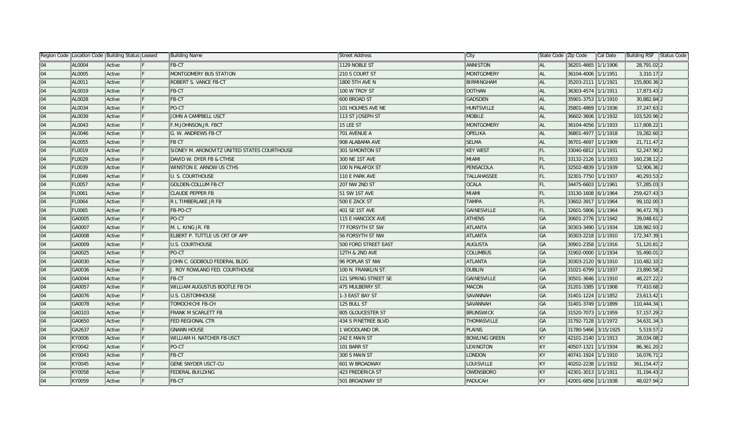|    | Region Code   Location Code   Building Status   Leased |        |     | Building Name                                | Street Address       | ∥City                | State Code Zip Code |                       | Cal Date | <b>Building RSF</b> Status Code |  |
|----|--------------------------------------------------------|--------|-----|----------------------------------------------|----------------------|----------------------|---------------------|-----------------------|----------|---------------------------------|--|
| 04 | AL0004                                                 | Active |     | $FB-CT$                                      | 1129 NOBLE ST        | <b>ANNISTON</b>      | ∥al                 | 36201-4665 1/1/1906   |          | 28,791.02 2                     |  |
| 04 | AL0005                                                 | Active |     | MONTGOMERY BUS STATION                       | 210 S COURT ST       | <b>MONTGOMERY</b>    | AL.                 | 36104-4006 1/1/1951   |          | $3,310.17$ 2                    |  |
| 04 | AL0011                                                 | Active |     | <b>ROBERT S. VANCE FB-CT</b>                 | 1800 5TH AVE N       | <b>BIRMINGHAM</b>    | ∥al                 | 35203-2111 1/1/1921   |          | 155,800.36 2                    |  |
| 04 | AL0019                                                 | Active | IF. | FB-CT                                        | 100 W TROY ST        | <b>DOTHAN</b>        | ∥al                 | 36303-4574 1/1/1911   |          | 17,873.43 2                     |  |
| 04 | <b>AL0028</b>                                          | Active | IF. | FB-CT                                        | 600 BROAD ST         | GADSDEN              | ∥al                 | 35901-3753 1/1/1910   |          | 30,882.84 2                     |  |
| 04 | AL0034                                                 | Active | IF. | PO-CT                                        | 101 HOLMES AVE NE    | <b>HUNTSVILLE</b>    | AL.                 | 35801-4869 1/1/1936   |          | 37,247.63 2                     |  |
| 04 | AL0039                                                 | Active |     | JOHN A CAMPBELL USCT                         | 113 ST JOSEPH ST     | <b>MOBILE</b>        | ∥al                 | 36602-3606 1/1/1932   |          | 103,520.96 2                    |  |
| 04 | AL0043                                                 | Active |     | F.M.JOHNSON, JR. FBCT                        | 15 LEE ST            | <b>MONTGOMERY</b>    | AL                  | 36104-4056 1/1/1933   |          | 117,808.221                     |  |
| 04 | AL0046                                                 | Active |     | G. W. ANDREWS FB-CT                          | 701 AVENUE A         | <b>OPELIKA</b>       | ∥al                 | 36801-4977 1/1/1918   |          | 19,282.60 2                     |  |
| 04 | AL0055                                                 | Active | IF. | <b>FB CT</b>                                 | 908 ALABAMA AVE      | <b>SELMA</b>         | AL.                 | 36701-4697 1/1/1909   |          | 21,711.47 2                     |  |
| 04 | FL0019                                                 | Active |     | SIDNEY M. ARONOVITZ UNITED STATES COURTHOUSE | 301 SIMONTON ST      | <b>KEY WEST</b>      | FL.                 | 33040-6812 1/1/1931   |          | 52,247.90 2                     |  |
| 04 | FL0029                                                 | Active |     | DAVID W. DYER FB & CTHSE                     | 300 NE 1ST AVE       | MIAMI                | FL.                 | 33132-2126 1/1/1933   |          | 160,238.12 2                    |  |
| 04 | FL0039                                                 | Active |     | <b>WINSTON E. ARNOW US CTHS</b>              | 100 N PALAFOX ST     | PENSACOLA            | FL                  | 32502-4839 1/1/1939   |          | 52,906.36 2                     |  |
| 04 | FL0049                                                 | Active |     | U. S. COURTHOUSE                             | 110 E PARK AVE       | <b>TALLAHASSEE</b>   | FL                  | 32301-7750 1/1/1937   |          | 40,293.53 2                     |  |
| 04 | FL0057                                                 | Active |     | <b>GOLDEN-COLLUM FB-CT</b>                   | <b>207 NW 2ND ST</b> | <b>OCALA</b>         | FL                  | 34475-6603 1/1/1961   |          | 57,285.03 3                     |  |
| 04 | <b>FL0061</b>                                          | Active | IF. | <b>CLAUDE PEPPER FB</b>                      | 51 SW 1ST AVE        | MIAMI                | FL                  | 33130-1608 6/1/1964   |          | 259,427.43 3                    |  |
| 04 | <b>FL0064</b>                                          | Active | IF. | R L TIMBERLAKE JR FB                         | 500 E ZACK ST        | <b>TAMPA</b>         | FL.                 | 33602-3917 1/1/1964   |          | 99,102.00 3                     |  |
| 04 | <b>FL0065</b>                                          | Active |     | FB-PO-CT                                     | 401 SE 1ST AVE       | GAINESVILLE          | FL.                 | 32601-5806 1/1/1964   |          | 96,472.78 3                     |  |
| 04 | GA0005                                                 | Active |     | PO-CT                                        | 115 E HANCOCK AVE    | <b>ATHENS</b>        | <b>GA</b>           | 30601-2776 1/1/1942   |          | 39,048.61 2                     |  |
| 04 | GA0007                                                 | Active |     | M. L. KING JR. FB                            | 77 FORSYTH ST SW     | <b>ATLANTA</b>       | <b>GA</b>           | 30303-3490 1/1/1934   |          | 328,982.93 2                    |  |
| 04 | GA0008                                                 | Active |     | ELBERT P. TUTTLE US CRT OF APP               | 56 FORSYTH ST NW     | <b>ATLANTA</b>       | ∥GA                 | 30303-2218 1/1/1910   |          | 172,347.39 1                    |  |
| 04 | GA0009                                                 | Active |     | U.S. COURTHOUSE                              | 500 FORD STREET EAST | AUGUSTA              | ∥GA                 | 30901-2358 1/1/1916   |          | 51,120.81 2                     |  |
| 04 | GA0025                                                 | Active |     | PO-CT                                        | 12TH & 2ND AVE       | <b>COLUMBUS</b>      | ∥GA                 | 31902-0000 1/1/1934   |          | 55,490.01 2                     |  |
| 04 | GA0030                                                 | Active |     | JOHN C. GODBOLD FEDERAL BLDG                 | 96 POPLAR ST NW      | <b>ATLANTA</b>       | <b>GA</b>           | 30303-2120 9/1/1910   |          | 110,482.10 2                    |  |
| 04 | GA0036                                                 | Active |     | J. ROY ROWLAND FED. COURTHOUSE               | 100 N. FRANKLIN ST.  | <b>DUBLIN</b>        | <b>GA</b>           | 31021-6799 1/1/1937   |          | 23,890.58 2                     |  |
| 04 | GA0044                                                 | Active |     | FB-CT                                        | 121 SPRING STREET SE | <b>GAINESVILLE</b>   | <b>GA</b>           | 30501-3646 1/1/1910   |          | 48,227.22 2                     |  |
| 04 | GA0057                                                 | Active | IF. | WILLIAM AUGUSTUS BOOTLE FB CH                | 475 MULBERRY ST.     | <b>MACON</b>         | GA                  | 31201-3385 1/1/1908   |          | 77,410.68 2                     |  |
| 04 | GA0076                                                 | Active | IF. | <b>U.S. CUSTOMHOUSE</b>                      | 1-3 EAST BAY ST      | SAVANNAH             | <b>GA</b>           | 31401-1224 1/1/1/1852 |          | 23,613.42 1                     |  |
| 04 | GA0078                                                 | Active |     | <b>TOMOCHICHI FB-CH</b>                      | 125 BULL ST          | <b>SAVANNAH</b>      | <b>GA</b>           | 31401-3749 1/1/1899   |          | 110,444.34 1                    |  |
| 04 | GA0103                                                 | Active |     | FRANK M SCARLETT FB                          | 805 GLOUCESTER ST    | <b>BRUNSWICK</b>     | <b>GA</b>           | 31520-7073 1/1/1959   |          | 57, 157. 29 2                   |  |
| 04 | GA0650                                                 | Active |     | FED REGIONAL CTR                             | 434 S PINETREE BLVD  | THOMASVILLE          | <b>GA</b>           | 31792-7128 1/1/1972   |          | 34,631.34 3                     |  |
| 04 | GA2637                                                 | Active |     | <b>GNANN HOUSE</b>                           | 1 WOODLAND DR.       | PLAINS               | <b>GA</b>           | 31780-5466 3/15/1925  |          | 5,519.57 2                      |  |
| 04 | KY0006                                                 | Active |     | <b>WILLIAM H. NATCHER FB-USCT</b>            | 242 E MAIN ST        | <b>BOWLING GREEN</b> | KY                  | 42101-2140 1/1/1913   |          | 28,034.08 2                     |  |
| 04 | KY0042                                                 | Active |     | PO-CT                                        | 101 BARR ST          | <b>LEXINGTON</b>     | KY                  | 40507-1321 1/1/1934   |          | 86,361.20 2                     |  |
| 04 | KY0043                                                 | Active |     | <b>FB-CT</b>                                 | 300 S MAIN ST        | <b>LONDON</b>        | KY                  | 40741-1924 1/1/1910   |          | 16,076.71 2                     |  |
| 04 | KY0045                                                 | Active |     | <b>GENE SNYDER USCT-CU</b>                   | 601 W BROADWAY       | LOUISVILLE           | KY                  | 40202-2238 1/1/1932   |          | 361, 154. 47 2                  |  |
| 04 | KY0058                                                 | Active |     | <b>FEDERAL BUILDING</b>                      | 423 FREDERICA ST     | OWENSBORO            | KY                  | 42301-3013 1/1/1911   |          | 31,194.43 2                     |  |
| 04 | KY0059                                                 | Active |     | FB-CT                                        | 501 BROADWAY ST      | PADUCAH              | KY.                 | 42001-6856 1/1/1938   |          | 48,027.94 2                     |  |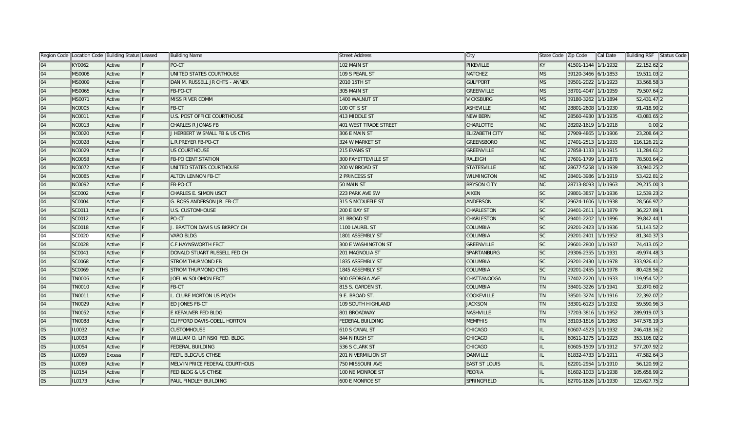|    | Region Code  Location Code  Building Status  Leased |               |     | Building Name                      | Street Address        | ∥City                 | State Code Zip Code |                     | ∥Cal Date | Building RSF Status Code |
|----|-----------------------------------------------------|---------------|-----|------------------------------------|-----------------------|-----------------------|---------------------|---------------------|-----------|--------------------------|
| 04 | KY0062                                              | Active        |     | PO-CT                              | 102 MAIN ST           | <b>PIKEVILLE</b>      | KY                  | 41501-1144 1/1/1932 |           | 22,152.62 2              |
| 04 | <b>MS0008</b>                                       | Active        | IF. | UNITED STATES COURTHOUSE           | 109 S PEARL ST        | NATCHEZ               | MS                  | 39120-3466 6/1/1853 |           | 19,511.03 2              |
| 04 | <b>MS0009</b>                                       | Active        | IF. | DAN M. RUSSELL JR CHTS - ANNEX     | 2010 15TH ST          | <b>GULFPORT</b>       | MS                  | 39501-2022 1/1/1923 |           | 33,568.58 3              |
| 04 | MS0065                                              | Active        | IF. | FB-PO-CT                           | 305 MAIN ST           | GREENVILLE            | MS                  | 38701-4047 1/1/1959 |           | 79,507.64 2              |
| 04 | MS0071                                              | Active        |     | <b>MISS RIVER COMM</b>             | 1400 WALNUT ST        | <b>VICKSBURG</b>      | MS                  | 39180-3262 1/1/1894 |           | 52,431.47 2              |
| 04 | <b>NC0005</b>                                       | Active        |     | FB-CT                              | 100 OTIS ST           | <b>ASHEVILLE</b>      | NC                  | 28801-2608 1/1/1930 |           | 91,418.90 2              |
| 04 | NC0011                                              | Active        |     | <b>U.S. POST OFFICE COURTHOUSE</b> | 413 MIDDLE ST         | <b>NEW BERN</b>       | NC                  | 28560-4930 3/1/1935 |           | 43,083.65 2              |
| 04 | NC0013                                              | Active        | IF. | CHARLES R JONAS FB                 | 401 WEST TRADE STREET | <b>CHARLOTTE</b>      | NC                  | 28202-1619 1/1/1918 |           | $0.00$  2                |
| 04 | <b>NC0020</b>                                       | Active        |     | J HERBERT W SMALL FB & US CTHS     | 306 E MAIN ST         | <b>ELIZABETH CITY</b> | N <sub>C</sub>      | 27909-4865 1/1/1906 |           | 23,208.64 2              |
| 04 | <b>NC0028</b>                                       | Active        |     | L.R.PREYER FB-PO-CT                | 324 W MARKET ST       | GREENSBORO            | NC                  | 27401-2513 1/1/1933 |           | 116,126.21 2             |
| 04 | NC0029                                              | Active        |     | US COURTHOUSE                      | 215 EVANS ST          | <b>GREENVILLE</b>     | NC                  | 27858-1133 1/1/1915 |           | $11,284.61$ 2            |
| 04 | <b>NC0058</b>                                       | Active        |     | <b>FB-PO CENT.STATION</b>          | 300 FAYETTEVILLE ST   | RALEIGH               | NC                  | 27601-1799 1/1/1878 |           | 78,503.64 2              |
| 04 | NC0072                                              | Active        |     | UNITED STATES COURTHOUSE           | 200 W BROAD ST        | <b>STATESVILLE</b>    | NC                  | 28677-5258 1/1/1939 |           | 33,940.25 2              |
| 04 | <b>NC0085</b>                                       | Active        | IF. | <b>ALTON LENNON FB-CT</b>          | 2 PRINCESS ST         | <b>WILMINGTON</b>     | NC                  | 28401-3986 1/1/1919 |           | 53,422.81 2              |
| 04 | NC0092                                              | Active        | IF. | FB-PO-CT                           | 50 MAIN ST            | <b>BRYSON CITY</b>    | NC                  | 28713-8093 1/1/1963 |           | 29,215.00 3              |
| 04 | SC0002                                              | Active        | IF. | CHARLES E. SIMON USCT              | 223 PARK AVE SW       | <b>AIKEN</b>          | SC                  | 29801-3857 1/1/1936 |           | 12,539.23 2              |
| 04 | SC0004                                              | Active        | IF. | G. ROSS ANDERSON JR. FB-CT         | 315 S MCDUFFIE ST     | <b>ANDERSON</b>       | SC                  | 29624-1606 1/1/1938 |           | 28,566.97 2              |
| 04 | SC0011                                              | Active        |     | <b>U.S. CUSTOMHOUSE</b>            | <b>200 E BAY ST</b>   | <b>CHARLESTON</b>     | SC                  | 29401-2611 1/1/1879 |           | 36,227.89 1              |
| 04 | SC0012                                              | Active        |     | PO-CT                              | 81 BROAD ST           | CHARLESTON            | SC                  | 29401-2202 1/1/1896 |           | 39,842.44 1              |
| 04 | SC0018                                              | Active        |     | J. BRATTON DAVIS US BKRPCY CH      | 1100 LAUREL ST        | <b>COLUMBIA</b>       | $\sf{S}C$           | 29201-2423 1/1/1936 |           | 51, 143. 52 2            |
| 04 | SC0020                                              | Active        |     | VARO BLDG                          | 1801 ASSEMBLY ST      | <b>COLUMBIA</b>       | ∥sc                 | 29201-2401 1/1/1952 |           | 81,340.373               |
| 04 | SC0028                                              | Active        |     | C.F.HAYNSWORTH FBCT                | 300 E WASHINGTON ST   | <b>GREENVILLE</b>     | SC                  | 29601-2800 1/1/1937 |           | 74,413.05 2              |
| 04 | SC0041                                              | Active        |     | DONALD STUART RUSSELL FED CH       | 201 MAGNOLIA ST       | SPARTANBURG           | SC                  | 29306-2355 1/1/1931 |           | 49,974.48 3              |
| 04 | SC0068                                              | Active        |     | <b>STROM THURMOND FB</b>           | 1835 ASSEMBLY ST      | <b>COLUMBIA</b>       | SC                  | 29201-2430 1/1/1978 |           | 333,926.41 2             |
| 04 | SC0069                                              | Active        |     | <b>STROM THURMOND CTHS</b>         | 1845 ASSEMBLY ST      | <b>COLUMBIA</b>       | SC                  | 29201-2455 1/1/1978 |           | 80,428.56 2              |
| 04 | <b>TN0006</b>                                       | Active        |     | JOEL W.SOLOMON FBCT                | 900 GEORGIA AVE       | <b>CHATTANOOGA</b>    | TN                  | 37402-2220 1/1/1933 |           | 119,954.52 2             |
| 04 | <b>TN0010</b>                                       | Active        | IF. | FB-CT                              | 815 S. GARDEN ST.     | <b>COLUMBIA</b>       | TN                  | 38401-3226 1/1/1941 |           | 32,870.60 2              |
| 04 | <b>TN0011</b>                                       | Active        | IF. | L. CLURE MORTON US PO/CH           | 9 E. BROAD ST.        | <b>COOKEVILLE</b>     | TN                  | 38501-3274 1/1/1916 |           | 22,392.07 2              |
| 04 | <b>TN0029</b>                                       | Active        |     | <b>ED JONES FB-CT</b>              | 109 SOUTH HIGHLAND    | <b>JACKSON</b>        | TN                  | 38301-6123 1/1/1932 |           | 59,590.96 3              |
| 04 | <b>TN0052</b>                                       | Active        |     | E KEFAUVER FED BLDG                | 801 BROADWAY          | NASHVILLE             | TN                  | 37203-3816 1/1/1952 |           | 289,919.07 3             |
| 04 | <b>TN0088</b>                                       | Active        |     | CLIFFORD DAVIS-ODELL HORTON        | FEDERAL BUILDING      | <b>MEMPHIS</b>        | TN                  | 38103-1816 1/1/1963 |           | 347,578.193              |
| 05 | IL0032                                              | Active        |     | <b>CUSTOMHOUSE</b>                 | 610 S CANAL ST        | CHICAGO               | IL.                 | 60607-4523 1/1/1932 |           | 246,418.16 2             |
| 05 | IL0033                                              | Active        |     | WILLIAM O. LIPINSKI FED. BLDG.     | 844 N RUSH ST         | CHICAGO               | IL.                 | 60611-1275 1/1/1923 |           | 353,105.02 2             |
| 05 | IL0054                                              | Active        |     | <b>FEDERAL BUILDING</b>            | 536 S CLARK ST        | CHICAGO               | IL                  | 60605-1509 1/1/1912 |           | 577,207.92 2             |
| 05 | IL0059                                              | <b>Excess</b> |     | <b>FED'L BLDG/US CTHSE</b>         | 201 N VERMILION ST    | DANVILLE              | IIL.                | 61832-4733 1/1/1911 |           | 47,582.64 3              |
| 05 | IL0069                                              | Active        |     | MELVIN PRICE FEDERAL COURTHOUS     | 750 MISSOURI AVE      | <b>EAST ST LOUIS</b>  | IL                  | 62201-2954 1/1/1910 |           | 56,120.99 2              |
| 05 | IL0154                                              | Active        |     | <b>FED BLDG &amp; US CTHSE</b>     | 100 NE MONROE ST      | PEORIA                |                     | 61602-1003 1/1/1938 |           | 105,658.99 2             |
| 05 | IL0173                                              | Active        |     | PAUL FINDLEY BUILDING              | 600 E MONROE ST       | <b>SPRINGFIELD</b>    |                     | 62701-1626 1/1/1930 |           | 123,627.75 2             |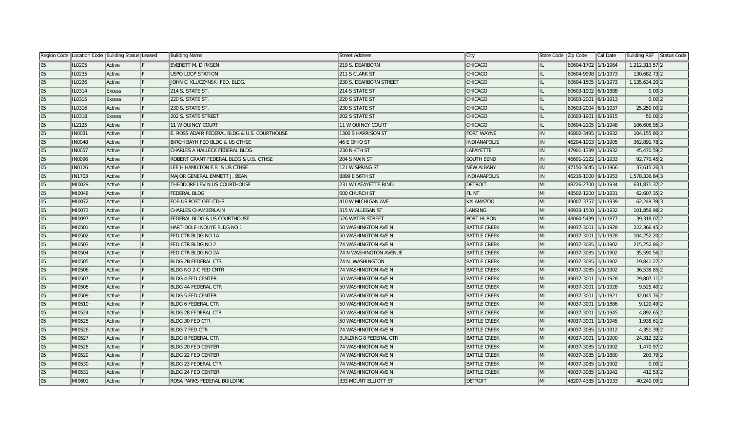|    |               | Region Code   Location Code   Building Status   Leased | <b>Building Name</b>                         | Street Address                | ∣City               | State Code Zip Code |                     | Cal Date | Building RSF Status Code |  |
|----|---------------|--------------------------------------------------------|----------------------------------------------|-------------------------------|---------------------|---------------------|---------------------|----------|--------------------------|--|
| 05 | IL0205        | Active                                                 | EVERETT M. DIRKSEN                           | 219 S. DEARBORN               | CHICAGO             | IL.                 | 60604-1702 1/1/1964 |          | 1,212,313.57 2           |  |
| 05 | IL0235        | Active                                                 | USPO LOOP STATION                            | 211 S CLARK ST                | CHICAGO             | IL                  | 60604-9998 1/1/1973 |          | 130,682.73 2             |  |
| 05 | IL0236        | Active                                                 | JOHN C. KLUCZYNSKI FED. BLDG.                | 230 S. DEARBORN STREET        | CHICAGO             | IL.                 | 60604-1505 1/1/1973 |          | 1,135,634.20 2           |  |
| 05 | IL0314        | <b>Excess</b>                                          | 214 S. STATE ST.                             | 214 S STATE ST                | <b>CHICAGO</b>      | IL.                 | 60603-1902 6/1/1888 |          | $0.00$ 3                 |  |
| 05 | IL0315        | Excess                                                 | 220 S. STATE ST.                             | 220 S STATE ST                | <b>CHICAGO</b>      | IL                  | 60603-2001 6/1/1913 |          | $0.00$  2                |  |
| 05 | IL0316        | Active                                                 | 230 S. STATE ST.                             | 230 S STATE ST                | <b>CHICAGO</b>      | IL                  | 60603-2004 6/1/1937 |          | 25,250.00 2              |  |
| 05 | IL0318        | Excess                                                 | 202 S. STATE STREET                          | 202 S STATE ST                | CHICAGO             | IL                  | 60603-1901 6/1/1915 |          | $50.00$  2               |  |
| 05 | IL2125        | Active                                                 | <b>11 W QUINCY COURT</b>                     | 11 W QUINCY COURT             | CHICAGO             | IL                  | 60604-2105 1/1/1948 |          | 106,605.95 3             |  |
| 05 | <b>IN0031</b> | Active                                                 | E. ROSS ADAIR FEDERAL BLDG & U.S. COURTHOUSE | 1300 S HARRISON ST            | FORT WAYNE          | IN.                 | 46802-3495 1/1/1932 |          | 104,155.80 2             |  |
| 05 | <b>IN0048</b> | Active                                                 | BIRCH BAYH FED BLDG & US CTHSE               | 46 E OHIO ST                  | <b>INDIANAPOLIS</b> | IN                  | 46204-1903 1/1/1905 |          | 362,891.78 2             |  |
| 05 | <b>IN0057</b> | Active                                                 | CHARLES A HALLECK FEDERAL BLDG               | 230 N 4TH ST                  | LAFAYETTE           | IN.                 | 47901-1339 1/1/1932 |          | 45,470.59 2              |  |
| 05 | <b>IN0096</b> | Active                                                 | ROBERT GRANT FEDERAL BLDG & U.S. CTHSE       | 204 S MAIN ST                 | <b>SOUTH BEND</b>   | IN                  | 46601-2122 1/1/1933 |          | 92,770.45 2              |  |
| 05 | <b>IN0126</b> | Active                                                 | LEE H HAMILTON F.B. & US CTHSE               | 121 W SPRING ST               | <b>NEW ALBANY</b>   | $\parallel$ IN      | 47150-3645 1/1/1966 |          | $37,615.26$ 3            |  |
| 05 | <b>IN1703</b> | Active                                                 | MAJOR GENERAL EMMETT J. BEAN                 | 8899 E 56TH ST                | <b>INDIANAPOLIS</b> | IN                  | 46216-1000 9/1/1953 |          | 1,578,336.84 3           |  |
| 05 | MI0029        | Active                                                 | THEODORE LEVIN US COURTHOUSE                 | 231 W LAFAYETTE BLVD          | <b>DETROIT</b>      | MI                  | 48226-2700 1/1/1934 |          | 631,871.37 2             |  |
| 05 | MI0048        | Active                                                 | <b>FEDERAL BLDG</b>                          | <b>600 CHURCH ST</b>          | FLINT               | MI                  | 48502-1200 1/1/1931 |          | 62,607.35 2              |  |
| 05 | MI0072        | Active                                                 | FOB US POST OFF CTHS                         | 410 W MICHIGAN AVE            | <b>KALAMAZOO</b>    | MI                  | 49007-3757 1/1/1939 |          | 62,249.39 3              |  |
| 05 | MI0073        | Active                                                 | CHARLES CHAMBERLAIN                          | 315 W ALLEGAN ST              | LANSING             | MI                  | 48933-1500 1/1/1932 |          | 101,858.98 2             |  |
| 05 | MI0097        | Active                                                 | FEDERAL BLDG & US COURTHOUSE                 | 526 WATER STREET              | PORT HURON          | MI                  | 48060-5439 1/1/1877 |          | 39,318.07 2              |  |
| 05 | MI0501        | Active                                                 | HART-DOLE-INOUYE BLDG NO 1                   | 50 WASHINGTON AVE N           | <b>BATTLE CREEK</b> | MI                  | 49037-3001 1/1/1928 |          | 222,366.45 2             |  |
| 05 | MI0502        | Active                                                 | FED CTR BLDG NO 1A                           | 50 WASHINGTON AVE N           | <b>BATTLE CREEK</b> | MI                  | 49037-3001 1/1/1928 |          | 104,252.20 2             |  |
| 05 | MI0503        | Active                                                 | FED CTR BLDG NO 2                            | 74 WASHINGTON AVE N           | <b>BATTLE CREEK</b> | MI                  | 49037-3085 1/1/1902 |          | 215,252.86 2             |  |
| 05 | MI0504        | Active                                                 | FED CTR BLDG NO 2A                           | 74 N WASHINGTON AVENUE        | <b>BATTLE CREEK</b> | MI                  | 49037-3085 1/1/1902 |          | 35,590.56 2              |  |
| 05 | MI0505        | Active                                                 | <b>BLDG 2B FEDERAL CTS.</b>                  | 74 N. WASHINGTON              | <b>BATTLE CREEK</b> | MI                  | 49037-3085 1/1/1902 |          | 19,841.27 2              |  |
| 05 | MI0506        | Active                                                 | <b>BLDG NO 2-C FED CNTR</b>                  | 74 WASHINGTON AVE N           | <b>BATTLE CREEK</b> | MI                  | 49037-3085 1/1/1902 |          | 36,538.85 2              |  |
| 05 | MI0507        | Active                                                 | <b>BLDG 4 FED CENTER</b>                     | 50 WASHINGTON AVE N           | <b>BATTLE CREEK</b> | MI                  | 49037-3001 1/1/1928 |          | 29,807.11 2              |  |
| 05 | MI0508        | Active                                                 | <b>BLDG 4A FEDERAL CTR</b>                   | 50 WASHINGTON AVE N           | <b>BATTLE CREEK</b> | MI                  | 49037-3001 1/1/1928 |          | $9,525.40$  2            |  |
| 05 | MI0509        | Active                                                 | <b>BLDG 5 FED CENTER</b>                     | 50 WASHINGTON AVE N           | <b>BATTLE CREEK</b> | MI                  | 49037-3001 1/1/1921 |          | 32,045.76 2              |  |
| 05 | MI0510        | Active                                                 | <b>BLDG 6 FEDERAL CTR</b>                    | 50 WASHINGTON AVE N           | <b>BATTLE CREEK</b> | MI                  | 49037-3001 1/1/1886 |          | $9,120.49$ 2             |  |
| 05 | MI0524        | Active                                                 | <b>BLDG 28 FEDERAL CTR</b>                   | 50 WASHINGTON AVE N           | <b>BATTLE CREEK</b> | MI                  | 49037-3001 1/1/1945 |          | 4,892.65 2               |  |
| 05 | MI0525        | Active                                                 | <b>BLDG 30 FED CTR</b>                       | 50 WASHINGTON AVE N           | <b>BATTLE CREEK</b> | MI                  | 49037-3001 1/1/1945 |          | 1,938.61 2               |  |
| 05 | MI0526        | Active                                                 | <b>BLDG 7 FED CTR</b>                        | 74 WASHINGTON AVE N           | <b>BATTLE CREEK</b> | MI                  | 49037-3085 1/1/1912 |          | 4,351.39 2               |  |
| 05 | MI0527        | Active                                                 | <b>BLDG 8 FEDERAL CTR</b>                    | <b>BUILDING 8 FEDERAL CTR</b> | <b>BATTLE CREEK</b> | MI                  | 49037-3001 1/1/1900 |          | 24,312.32 2              |  |
| 05 | MI0528        | Active                                                 | <b>BLDG 20 FED CENTER</b>                    | 74 WASHINGTON AVE N           | <b>BATTLE CREEK</b> | MI                  | 49037-3085 1/1/1902 |          | 1,470.97 2               |  |
| 05 | MI0529        | Active                                                 | <b>BLDG 22 FED CENTER</b>                    | 74 WASHINGTON AVE N           | <b>BATTLE CREEK</b> | MI                  | 49037-3085 1/1/1880 |          | 203.79 2                 |  |
| 05 | MI0530        | Active                                                 | <b>BLDG 23 FEDERAL CTR</b>                   | 74 WASHINGTON AVE N           | <b>BATTLE CREEK</b> | MI                  | 49037-3085 1/1/1902 |          | $0.00$  2                |  |
| 05 | MI0531        | Active                                                 | <b>BLDG 24 FED CENTER</b>                    | 74 WASHINGTON AVE N           | <b>BATTLE CREEK</b> | MI                  | 49037-3085 1/1/1942 |          | 412.53 2                 |  |
| 05 | MI0601        | Active                                                 | ROSA PARKS FEDERAL BUILDING                  | 333 MOUNT ELLIOTT ST          | <b>DETROIT</b>      | lмı                 | 48207-4385 1/1/1933 |          | 40,240.09 2              |  |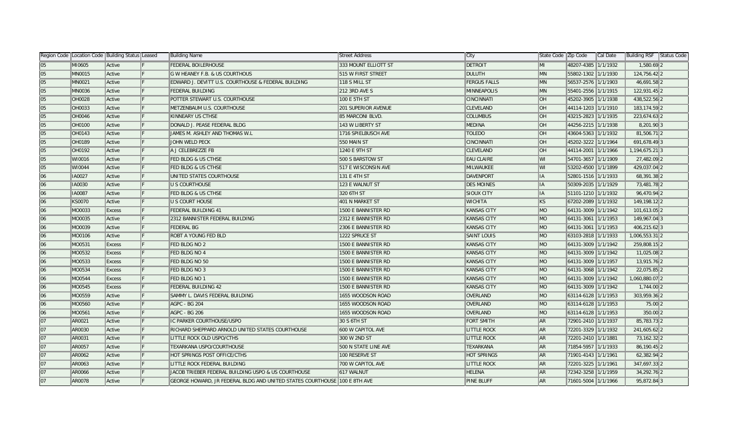|    | Region Code  Location Code   Building Status   Leased |               |     | Building Name                                                             | Street Address             | ∥City               | State Code   Zip Code |                     | Cal Date | Building RSF Status Code |
|----|-------------------------------------------------------|---------------|-----|---------------------------------------------------------------------------|----------------------------|---------------------|-----------------------|---------------------|----------|--------------------------|
| 05 | MI0605                                                | ∥Active       |     | <b>FEDERAL BOILERHOUSE</b>                                                | 333 MOUNT ELLIOTT ST       | DETROIT             | MI                    | 48207-4385 1/1/1932 |          | 1,580.69 2               |
| 05 | <b>MN0015</b>                                         | Active        |     | G W HEANEY F.B. & US COURTHOUS                                            | 515 W FIRST STREET         | <b>DULUTH</b>       | <b>MN</b>             | 55802-1302 1/1/1930 |          | 124,756.42 2             |
| 05 | <b>MN0021</b>                                         | Active        |     | EDWARD J. DEVITT U.S. COURTHOUSE & FEDERAL BUILDING                       | 118 S MILL ST              | <b>FERGUS FALLS</b> | <b>MN</b>             | 56537-2576 1/1/1903 |          | 46,691.58 2              |
| 05 | <b>MN0036</b>                                         | Active        |     | <b>FEDERAL BUILDING</b>                                                   | 212 3RD AVE S              | <b>MINNEAPOLIS</b>  | <b>MN</b>             | 55401-2556 1/1/1915 |          | 122,931.45 2             |
| 05 | <b>OH0028</b>                                         | Active        | IF. | POTTER STEWART U.S. COURTHOUSE                                            | 100 E 5TH ST               | CINCINNATI          | <b>OH</b>             | 45202-3905 1/1/1938 |          | 438,522.56 2             |
| 05 | OH0033                                                | Active        |     | METZENBAUM U.S. COURTHOUSE                                                | <b>201 SUPERIOR AVENUE</b> | <b>CLEVELAND</b>    | $\overline{O}$ H      | 44114-1203 1/1/1910 |          | 183, 174.59 2            |
| 05 | <b>OH0046</b>                                         | Active        |     | KINNEARY US CTHSE                                                         | 85 MARCONI BLVD.           | <b>COLUMBUS</b>     | <b>OH</b>             | 43215-2823 1/1/1935 |          | 223,674.63 2             |
| 05 | <b>OH0100</b>                                         | Active        |     | DONALD J. PEASE FEDERAL BLDG                                              | 143 W LIBERTY ST           | <b>MEDINA</b>       | <b>OH</b>             | 44256-2215 1/1/1938 |          | 8,201.90 3               |
| 05 | <b>OH0143</b>                                         | Active        |     | JAMES M. ASHLEY AND THOMAS W.L                                            | 1716 SPIELBUSCH AVE        | <b>TOLEDO</b>       | <b>OH</b>             | 43604-5363 1/1/1932 |          | 81,506.712               |
| 05 | <b>OH0189</b>                                         | Active        |     | JOHN WELD PECK                                                            | 550 MAIN ST                | CINCINNATI          | $\parallel$ OH        | 45202-3222 1/1/1964 |          | 691,678.49 3             |
| 05 | OH0192                                                | Active        |     | A J CELEBREZZE FB                                                         | 1240 E 9TH ST              | <b>CLEVELAND</b>    | <b>OH</b>             | 44114-2001 1/1/1966 |          | 1,194,675.21 3           |
| 05 | WI0016                                                | Active        |     | <b>FED BLDG &amp; US CTHSE</b>                                            | 500 S BARSTOW ST           | <b>EAU CLAIRE</b>   | $\ W\ $               | 54701-3657 1/1/1909 |          | 27,482.09 2              |
| 05 | WI0044                                                | Active        |     | <b>FED BLDG &amp; US CTHSE</b>                                            | <b>517 E WISCONSIN AVE</b> | MILWAUKEE           | $\mathbb{I}$ WI       | 53202-4500 1/1/1899 |          | 429,037.04 2             |
| 06 | IA0027                                                | Active        |     | UNITED STATES COURTHOUSE                                                  | 131 E 4TH ST               | <b>DAVENPORT</b>    | $\ $ IA               | 52801-1516 1/1/1933 |          | 68,391.38 2              |
| 06 | <b>IA0030</b>                                         | Active        |     | <b>U S COURTHOUSE</b>                                                     | 123 E WALNUT ST            | <b>DES MOINES</b>   | $\ $ IA               | 50309-2035 1/1/1929 |          | 73,481.782               |
| 06 | <b>IA0087</b>                                         | Active        |     | <b>FED BLDG &amp; US CTHSE</b>                                            | 320 6TH ST                 | <b>SIOUX CITY</b>   | $\ $ IA               | 51101-1210 1/1/1932 |          | 96,470.94 2              |
| 06 | KS0070                                                | Active        | F   | <b>U S COURT HOUSE</b>                                                    | 401 N MARKET ST            | <b>WICHITA</b>      | <b>KS</b>             | 67202-2089 1/1/1932 |          | 149, 198. 12 2           |
| 06 | MO0033                                                | Excess        |     | <b>FEDERAL BUILDING 41</b>                                                | 1500 E BANNISTER RD        | <b>KANSAS CITY</b>  | $\blacksquare$        | 64131-3009 1/1/1942 |          | 101,613.05 2             |
| 06 | MO0035                                                | Active        |     | 2312 BANNISTER FEDERAL BUILDING                                           | 2312 E BANNISTER RD        | <b>KANSAS CITY</b>  | $\blacksquare$        | 64131-3061 1/1/1953 |          | 149,967.04 3             |
| 06 | MO0039                                                | Active        |     | <b>FEDERAL BG</b>                                                         | 2306 E BANNISTER RD        | <b>KANSAS CITY</b>  | MO                    | 64131-3061 1/1/1953 |          | 406,215.62 3             |
| 06 | MO0106                                                | Active        |     | ROBT A YOUNG FED BLD                                                      | 1222 SPRUCE ST             | <b>SAINT LOUIS</b>  | MO                    | 63103-2818 1/1/1933 |          | 1,006,553.31 2           |
| 06 | MO0531                                                | <b>Excess</b> |     | FED BLDG NO 2                                                             | 1500 E BANNISTER RD        | <b>KANSAS CITY</b>  | MO                    | 64131-3009 1/1/1942 |          | 259,808.15 2             |
| 06 | MO0532                                                | Excess        |     | FED BLDG NO 4                                                             | 1500 E BANNISTER RD        | <b>KANSAS CITY</b>  | <b>MO</b>             | 64131-3009 1/1/1942 |          | 11,025.08 2              |
| 06 | MO0533                                                | Excess        |     | FED BLDG NO 50                                                            | 1500 E BANNISTER RD        | <b>KANSAS CITY</b>  | <b>MO</b>             | 64131-3009 1/1/1957 |          | 13,915.76 2              |
| 06 | MO0534                                                | <b>Excess</b> |     | FED BLDG NO 3                                                             | 1500 E BANNISTER RD        | <b>KANSAS CITY</b>  | $\parallel$ MO        | 64131-3068 1/1/1942 |          | 22,075.85 2              |
| 06 | MO0544                                                | <b>Excess</b> |     | FED BLDG NO 1                                                             | 1500 E BANNISTER RD        | <b>KANSAS CITY</b>  | MO                    | 64131-3009 1/1/1942 |          | 1,060,880.07 2           |
| 06 | MO0545                                                | <b>Excess</b> |     | <b>FEDERAL BUILDING 42</b>                                                | 1500 E BANNISTER RD        | <b>KANSAS CITY</b>  | $\blacksquare$        | 64131-3009 1/1/1942 |          | 1,744.00 2               |
| 06 | MO0559                                                | Active        |     | SAMMY L. DAVIS FEDERAL BUILDING                                           | 1655 WOODSON ROAD          | <b>OVERLAND</b>     | $\blacksquare$        | 63114-6128 1/1/1953 |          | 303,959.36 2             |
| 06 | MO0560                                                | Active        |     | AGPC - BG 204                                                             | 1655 WOODSON ROAD          | <b>OVERLAND</b>     | $\blacksquare$        | 63114-6128 1/1/1953 |          | 75.00 2                  |
| 06 | MO0561                                                | Active        |     | AGPC - BG 206                                                             | 1655 WOODSON ROAD          | <b>OVERLAND</b>     | $\parallel$ MO        | 63114-6128 1/1/1953 |          | 350.00 2                 |
| 07 | AR0021                                                | Active        |     | IC PARKER COURTHOUSE/USPO                                                 | 30 S 6TH ST                | <b>FORT SMITH</b>   | AR <sup></sup>        | 72901-2410 1/1/1937 |          | 85,783.73 2              |
| 07 | AR0030                                                | Active        |     | RICHARD SHEPPARD ARNOLD UNITED STATES COURTHOUSE                          | 600 W CAPITOL AVE          | <b>LITTLE ROCK</b>  | $\parallel$ AR        | 72201-3329 1/1/1932 |          | 241,605.62 2             |
| 07 | AR0031                                                | Active        |     | LITTLE ROCK OLD USPO/CTHS                                                 | 300 W 2ND ST               | <b>LITTLE ROCK</b>  | $\parallel$ AR        | 72201-2410 1/1/1881 |          | 73,162.32 2              |
| 07 | AR0057                                                | Active        |     | TEXARKANA USPO/COURTHOUSE                                                 | 500 N STATE LINE AVE       | TEXARKANA           | $\parallel$ AR        | 71854-5957 1/1/1933 |          | 86,190.45 2              |
| 07 | AR0062                                                | Active        |     | HOT SPRINGS POST OFFICE/CTHS                                              | 100 RESERVE ST             | <b>HOT SPRINGS</b>  | $\parallel$ AR        | 71901-4143 1/1/1961 |          | 62,382.94 2              |
| 07 | AR0063                                                | Active        |     | LITTLE ROCK FEDERAL BUILDING                                              | 700 W CAPITOL AVE          | <b>LITTLE ROCK</b>  | $\parallel$ AR        | 72201-3225 1/1/1961 |          | 347,697.33 2             |
| 07 | AR0066                                                | Active        |     | JACOB TRIEBER FEDERAL BUILDING USPO & US COURTHOUSE                       | 617 WALNUT                 | <b>HELENA</b>       | $\parallel$ AR        | 72342-3258 1/1/1959 |          | 34,292.76 2              |
| 07 | <b>AR0078</b>                                         | Active        |     | GEORGE HOWARD, JR FEDERAL BLDG AND UNITED STATES COURTHOUSE 100 E 8TH AVE |                            | <b>PINE BLUFF</b>   | <b>AR</b>             | 71601-5004 1/1/1966 |          | 95,872.84 3              |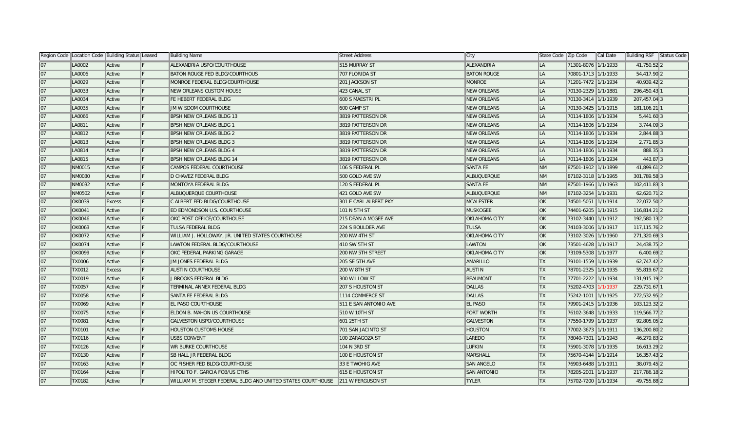|    | Region Code   Location Code   Building Status   Leased |               |    | Building Name                                                                 | Street Address        | ∥City                | State Code Zip Code     |                     | Cal Date | Building RSF Status Code |
|----|--------------------------------------------------------|---------------|----|-------------------------------------------------------------------------------|-----------------------|----------------------|-------------------------|---------------------|----------|--------------------------|
| 07 | LA0002                                                 | Active        |    | ALEXANDRIA USPO/COURTHOUSE                                                    | 515 MURRAY ST         | ALEXANDRIA           | <b>LA</b>               | 71301-8076 1/1/1933 |          | 41,750.52 2              |
| 07 | LA0006                                                 | Active        |    | <b>BATON ROUGE FED BLDG/COURTHOUS</b>                                         | 707 FLORIDA ST        | <b>BATON ROUGE</b>   | <b>LA</b>               | 70801-1713 1/1/1933 |          | 54,417.90 2              |
| 07 | LA0029                                                 | Active        | ΙF | MONROE FEDERAL BLDG/COURTHOUSE                                                | 201 JACKSON ST        | <b>MONROE</b>        | <b>LA</b>               | 71201-7472 1/1/1934 |          | 40,939.42 2              |
| 07 | LA0033                                                 | Active        | IF | <b>NEW ORLEANS CUSTOM HOUSE</b>                                               | 423 CANAL ST          | <b>NEW ORLEANS</b>   | ∥LA                     | 70130-2329 1/1/1881 |          | 296,450.43 1             |
| 07 | LA0034                                                 | Active        |    | FE HEBERT FEDERAL BLDG                                                        | 600 S MAESTRI PL      | <b>NEW ORLEANS</b>   | ∥LA                     | 70130-3414 1/1/1939 |          | 207,457.04 3             |
| 07 | LA0035                                                 | Active        |    | <b>JM WISDOM COURTHOUSE</b>                                                   | 600 CAMP ST           | <b>NEW ORLEANS</b>   | <b>LA</b>               | 70130-3425 1/1/1915 |          | 181,106.21 1             |
| 07 | LA0066                                                 | Active        |    | <b>BPSH NEW ORLEANS BLDG 13</b>                                               | 3819 PATTERSON DR     | <b>NEW ORLEANS</b>   | ∥LA                     | 70114-1806 1/1/1934 |          | $5,441.60$ 3             |
| 07 | LA0811                                                 | Active        |    | <b>BPSH NEW ORLEANS BLDG 1</b>                                                | 3819 PATTERSON DR     | <b>NEW ORLEANS</b>   | ∥LA                     | 70114-1806 1/1/1934 |          | $3,744.09$ 3             |
| 07 | LA0812                                                 | Active        |    | <b>BPSH NEW ORLEANS BLDG 2</b>                                                | 3819 PATTERSON DR     | <b>NEW ORLEANS</b>   | <b>LA</b>               | 70114-1806 1/1/1934 |          | 2,844.88 3               |
| 07 | LA0813                                                 | Active        |    | <b>BPSH NEW ORLEANS BLDG 3</b>                                                | 3819 PATTERSON DR     | <b>NEW ORLEANS</b>   | <b>LA</b>               | 70114-1806 1/1/1934 |          | 2,771.85 3               |
| 07 | LA0814                                                 | Active        |    | <b>BPSH NEW ORLEANS BLDG 4</b>                                                | 3819 PATTERSON DR     | <b>NEW ORLEANS</b>   | <b>LA</b>               | 70114-1806 1/1/1934 |          | 888.35 3                 |
| 07 | LA0815                                                 | Active        |    | <b>BPSH NEW ORLEANS BLDG 14</b>                                               | 3819 PATTERSON DR     | <b>NEW ORLEANS</b>   | <b>LA</b>               | 70114-1806 1/1/1934 |          | 443.87 3                 |
| 07 | NM0015                                                 | Active        |    | CAMPOS FEDERAL COURTHOUSE                                                     | 106 S FEDERAL PL      | SANTA FE             | <b>NM</b>               | 87501-1902 1/1/1899 |          | 41,899.61 2              |
| 07 | NM0030                                                 | Active        |    | <b>D CHAVEZ FEDERAL BLDG</b>                                                  | 500 GOLD AVE SW       | <b>ALBUQUERQUE</b>   | <b>NM</b>               | 87102-3118 1/1/1965 |          | 301,789.58 3             |
| 07 | NM0032                                                 | Active        |    | MONTOYA FEDERAL BLDG                                                          | 120 S FEDERAL PL      | <b>SANTA FE</b>      | <b>NM</b>               | 87501-1966 1/1/1963 |          | 102,411.83 3             |
| 07 | <b>NM0502</b>                                          | Active        | IF | ALBUQUERQUE COURTHOUSE                                                        | 421 GOLD AVE SW       | <b>ALBUQUERQUE</b>   | <b>NM</b>               | 87102-3254 1/1/1931 |          | 62,620.71 2              |
| 07 | <b>OK0039</b>                                          | Excess        | ΙF | C ALBERT FED BLDG/COURTHOUSE                                                  | 301 E CARL ALBERT PKY | <b>MCALESTER</b>     | <b>OK</b>               | 74501-5051 1/1/1914 |          | 22,072.50 2              |
| 07 | <b>OK0041</b>                                          | Active        |    | ED EDMONDSON U.S. COURTHOUSE                                                  | 101 N 5TH ST          | <b>MUSKOGEE</b>      | ∥OK                     | 74401-6205 1/1/1915 |          | 116,814.21 2             |
| 07 | <b>OK0046</b>                                          | <b>Active</b> |    | OKC POST OFFICE/COURTHOUSE                                                    | 215 DEAN A MCGEE AVE  | <b>OKLAHOMA CITY</b> | <b>OK</b>               | 73102-3440 1/1/1912 |          | 192,580.13 2             |
| 07 | <b>OK0063</b>                                          | Active        |    | <b>TULSA FEDERAL BLDG</b>                                                     | 224 S BOULDER AVE     | <b>TULSA</b>         | <b>OK</b>               | 74103-3006 1/1/1917 |          | 117, 115. 76 2           |
| 07 | OK0072                                                 | Active        |    | WILLIAM J. HOLLOWAY, JR. UNITED STATES COURTHOUSE                             | <b>200 NW 4TH ST</b>  | <b>OKLAHOMA CITY</b> | ∥OK                     | 73102-3026 1/1/1960 |          | 271,320.69 3             |
| 07 | <b>OK0074</b>                                          | Active        |    | LAWTON FEDERAL BLDG/COURTHOUSE                                                | 410 SW 5TH ST         | LAWTON               | ∥OK                     | 73501-4628 1/1/1917 |          | 24,438.75 2              |
| 07 | <b>OK0099</b>                                          | Active        |    | OKC FEDERAL PARKING GARAGE                                                    | 200 NW 5TH STREET     | <b>OKLAHOMA CITY</b> | ∥OK                     | 73109-5308 1/1/1977 |          | $6,400.69$ 2             |
| 07 | <b>TX0006</b>                                          | Active        |    | <b>JM JONES FEDERAL BLDG</b>                                                  | 205 SE 5TH AVE        | <b>AMARILLO</b>      | TX                      | 79101-1559 1/1/1939 |          | 62,747.42 2              |
| 07 | <b>TX0012</b>                                          | Excess        |    | <b>AUSTIN COURTHOUSE</b>                                                      | 200 W 8TH ST          | <b>AUSTIN</b>        | $\mathsf{T} \mathsf{X}$ | 78701-2325 1/1/1935 |          | 55,819.67 2              |
| 07 | TX0019                                                 | Active        |    | J BROOKS FEDERAL BLDG                                                         | 300 WILLOW ST         | <b>BEAUMONT</b>      | <b>TX</b>               | 77701-2222 1/1/1934 |          | 131,915.19 2             |
| 07 | <b>TX0057</b>                                          | Active        |    | TERMINAL ANNEX FEDERAL BLDG                                                   | 207 S HOUSTON ST      | <b>DALLAS</b>        | <b>TX</b>               | 75202-4703 1/1/1937 |          | 229,731.67 1             |
| 07 | <b>TX0058</b>                                          | Active        | ΙF | SANTA FE FEDERAL BLDG                                                         | 1114 COMMERCE ST      | <b>DALLAS</b>        | <b>TX</b>               | 75242-1001 1/1/1925 |          | 272,532.95 2             |
| 07 | <b>TX0069</b>                                          | Active        | ΙF | <b>EL PASO COURTHOUSE</b>                                                     | 511 E SAN ANTONIO AVE | <b>EL PASO</b>       | <b>TX</b>               | 79901-2415 1/1/1936 |          | 103,123.32 2             |
| 07 | <b>TX0075</b>                                          | Active        |    | <b>ELDON B. MAHON US COURTHOUSE</b>                                           | 510 W 10TH ST         | <b>FORT WORTH</b>    | <b>TX</b>               | 76102-3648 1/1/1933 |          | 119,566.77 2             |
| 07 | <b>TX0081</b>                                          | Active        |    | <b>GALVESTON USPO/COURTHOUSE</b>                                              | 601 25TH ST           | <b>GALVESTON</b>     | <b>TX</b>               | 77550-1799 1/1/1937 |          | 92,805.05 2              |
| 07 | <b>TX0101</b>                                          | <b>Active</b> |    | <b>HOUSTON CUSTOMS HOUSE</b>                                                  | 701 SAN JACINTO ST    | <b>HOUSTON</b>       | <b>TX</b>               | 77002-3673 1/1/1911 |          | 136,200.80 2             |
| 07 | <b>TX0116</b>                                          | Active        |    | USBS CONVENT                                                                  | 100 ZARAGOZA ST       | LAREDO               | <b>TX</b>               | 78040-7301 1/1/1943 |          | 46,279.83 2              |
| 07 | <b>TX0126</b>                                          | Active        |    | WR BURKE COURTHOUSE                                                           | 104 N 3RD ST          | LUFKIN               | TX                      | 75901-3078 1/1/1935 |          | 16,613.29 2              |
| 07 | <b>TX0130</b>                                          | Active        |    | <b>SB HALL JR FEDERAL BLDG</b>                                                | 100 E HOUSTON ST      | <b>MARSHALL</b>      | $\mathsf{T} \mathsf{X}$ | 75670-4144 1/1/1914 |          | 16,357.43 2              |
| 07 | TX0163                                                 | <b>Active</b> |    | OC FISHER FED BLDG/COURTHOUSE                                                 | 33 E TWOHIG AVE       | <b>SAN ANGELO</b>    | <b>TX</b>               | 76903-6488 1/1/1911 |          | 38,079.45 2              |
| 07 | <b>TX0164</b>                                          | Active        |    | HIPOLITO F. GARCIA FOB/US CTHS                                                | 615 E HOUSTON ST      | <b>SAN ANTONIO</b>   | $\mathsf{T} \mathsf{X}$ | 78205-2001 1/1/1937 |          | 217,786.18 2             |
| 07 | <b>TX0182</b>                                          | <b>Active</b> |    | WILLIAM M. STEGER FEDERAL BLDG AND UNITED STATES COURTHOUSE 211 W FERGUSON ST |                       | <b>TYLER</b>         | <b>TX</b>               | 75702-7200 1/1/1934 |          | 49,755.88 2              |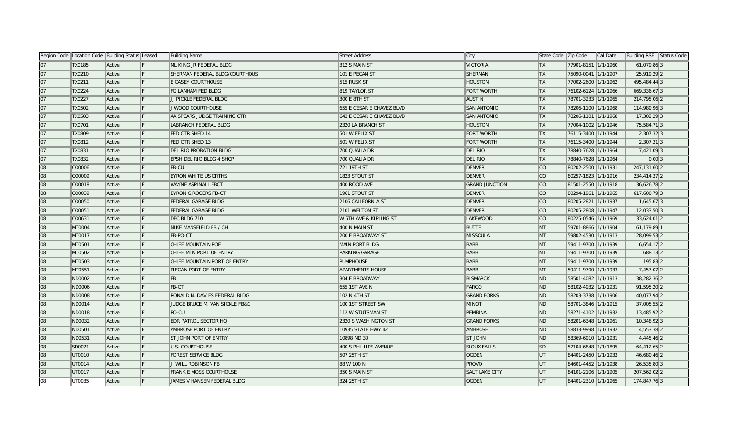|    | Region Code  Location Code  Building Status  Leased |        |     | Building Name                   | Street Address            | ∣City                 | State Code Zip Code      |                     | Cal Date | Building RSF Status Code |  |
|----|-----------------------------------------------------|--------|-----|---------------------------------|---------------------------|-----------------------|--------------------------|---------------------|----------|--------------------------|--|
| 07 | <b>TX0185</b>                                       | Active |     | ML KING JR FEDERAL BLDG         | 312 S MAIN ST             | <b>VICTORIA</b>       | <b>TX</b>                | 77901-8151 1/1/1960 |          | 61,079.86 3              |  |
| 07 | TX0210                                              | Active |     | SHERMAN FEDERAL BLDG/COURTHOUS  | 101 E PECAN ST            | <b>SHERMAN</b>        | <b>TX</b>                | 75090-0041 1/1/1907 |          | 25,919.29 2              |  |
| 07 | TX0211                                              | Active | IF. | <b>B CASEY COURTHOUSE</b>       | 515 RUSK ST               | <b>HOUSTON</b>        | <b>TX</b>                | 77002-2600 1/1/1962 |          | 495,484.44 3             |  |
| 07 | <b>TX0224</b>                                       | Active | IF. | <b>FG LANHAM FED BLDG</b>       | 819 TAYLOR ST             | <b>FORT WORTH</b>     | <b>TX</b>                | 76102-6124 1/1/1966 |          | 669,336.67 3             |  |
| 07 | <b>TX0227</b>                                       | Active | IF. | JJ PICKLE FEDERAL BLDG          | 300 E 8TH ST              | <b>AUSTIN</b>         | <b>TX</b>                | 78701-3233 1/1/1965 |          | 214,795.06 2             |  |
| 07 | <b>TX0502</b>                                       | Active |     | J WOOD COURTHOUSE               | 655 E CESAR E CHAVEZ BLVD | <b>SAN ANTONIO</b>    | <b>TX</b>                | 78206-1100 1/1/1968 |          | 114,989.96 3             |  |
| 07 | <b>TX0503</b>                                       | Active |     | AA SPEARS JUDGE TRAINING CTR    | 643 E CESAR E CHAVEZ BLVD | <b>SAN ANTONIO</b>    | <b>TX</b>                | 78206-1101 1/1/1968 |          | 17,302.29 3              |  |
| 07 | TX0701                                              | Active |     | <b>LABRANCH FEDERAL BLDG</b>    | 2320 LA BRANCH ST         | <b>HOUSTON</b>        | <b>TX</b>                | 77004-1002 1/1/1946 |          | 75,584.713               |  |
| 07 | <b>TX0809</b>                                       | Active |     | <b>FED CTR SHED 14</b>          | 501 W FELIX ST            | <b>FORT WORTH</b>     | <b>TX</b>                | 76115-3400 1/1/1944 |          | 2,307.32 3               |  |
| 07 | <b>TX0812</b>                                       | Active |     | FED CTR SHED 13                 | 501 W FELIX ST            | <b>FORT WORTH</b>     | <b>TX</b>                | 76115-3400 1/1/1944 |          | $2,307.31$ 3             |  |
| 07 | <b>TX0831</b>                                       | Active |     | <b>DEL RIO PROBATION BLDG</b>   | 700 QUALIA DR             | <b>DEL RIO</b>        | <b>TX</b>                | 78840-7628 1/1/1964 |          | 7,421.09 3               |  |
| 07 | <b>TX0832</b>                                       | Active |     | <b>BPSH DEL RIO BLDG 4 SHOP</b> | 700 QUALIA DR             | <b>DEL RIO</b>        | <b>TX</b>                | 78840-7628 1/1/1964 |          | $0.00$ 3                 |  |
| 08 | CO0006                                              | Active |     | FB-CU                           | 721 19TH ST               | <b>DENVER</b>         | <b>CO</b>                | 80202-2500 1/1/1931 |          | 247,131.60 2             |  |
| 08 | CO0009                                              | Active |     | BYRON WHITE US CRTHS            | 1823 STOUT ST             | <b>DENVER</b>         | <b>CO</b>                | 80257-1823 1/1/1916 |          | 234,414.37 2             |  |
| 08 | CO0018                                              | Active | IF. | <b>WAYNE ASPINALL FBCT</b>      | 400 ROOD AVE              | <b>GRAND JUNCTION</b> | <b>CO</b>                | 81501-2550 1/1/1918 |          | 36,626.78 2              |  |
| 08 | CO0039                                              | Active | IF. | <b>BYRON G.ROGERS FB-CT</b>     | 1961 STOUT ST             | <b>DENVER</b>         | <b>CO</b>                | 80294-1961 1/1/1965 |          | 617,600.793              |  |
| 08 | CO0050                                              | Active | IF. | <b>FEDERAL GARAGE BLDG</b>      | 2106 CALIFORNIA ST        | <b>DENVER</b>         | ∣CO                      | 80205-2821 1/1/1937 |          | $1,645.67$ 3             |  |
| 08 | CO0051                                              | Active |     | <b>FEDERAL GARAGE BLDG</b>      | 2101 WELTON ST            | <b>DENVER</b>         | ∣co                      | 80205-2808 1/1/1947 |          | 12,033.50 3              |  |
| 08 | CO0631                                              | Active |     | DFC BLDG 710                    | W 6TH AVE & KIPLING ST    | <b>LAKEWOOD</b>       | CO                       | 80225-0546 1/1/1969 |          | 33,624.01 2              |  |
| 08 | <b>MT0004</b>                                       | Active |     | MIKE MANSFIELD FB / CH          | 400 N MAIN ST             | <b>BUTTE</b>          | $\blacksquare$           | 59701-8866 1/1/1904 |          | 61,179.89 1              |  |
| 08 | MT0017                                              | Active | IF. | FB-PO-CT                        | <b>200 E BROADWAY ST</b>  | MISSOULA              | ∥MT                      | 59802-4530 1/1/1913 |          | 128,099.53 2             |  |
| 08 | MT0501                                              | Active |     | CHIEF MOUNTAIN POE              | <b>MAIN PORT BLDG</b>     | BABB                  | MT                       | 59411-9700 1/1/1939 |          | $6,654.17$  2            |  |
| 08 | MT0502                                              | Active |     | CHIEF MTN PORT OF ENTRY         | PARKING GARAGE            | BABB                  | MT                       | 59411-9700 1/1/1939 |          | 688.13 2                 |  |
| 08 | <b>MT0503</b>                                       | Active |     | CHIEF MOUNTAIN PORT OF ENTRY    | <b>PUMPHOUSE</b>          | <b>BABB</b>           | MT                       | 59411-9700 1/1/1939 |          | 195.83 2                 |  |
| 08 | MT0551                                              | Active |     | PIEGAN PORT OF ENTRY            | <b>APARTMENTS HOUSE</b>   | <b>BABB</b>           | MT                       | 59411-9700 1/1/1933 |          | 7,457.07 2               |  |
| 08 | ND0002                                              | Active |     | <b>FB</b>                       | 304 E BROADWAY            | <b>BISMARCK</b>       | ND                       | 58501-4082 1/1/1913 |          | 38,282.36 2              |  |
| 08 | ND0006                                              | Active | IF. | <b>FB-CT</b>                    | 655 1ST AVE N             | FARGO                 | ND                       | 58102-4932 1/1/1931 |          | 91,595.20 2              |  |
| 08 | <b>ND0008</b>                                       | Active | IF. | RONALD N. DAVIES FEDERAL BLDG   | 102 N 4TH ST              | <b>GRAND FORKS</b>    | ND                       | 58203-3738 1/1/1906 |          | 40,077.94 2              |  |
| 08 | ND0014                                              | Active |     | JUDGE BRUCE M. VAN SICKLE FB&C  | 100 1ST STREET SW         | <b>MINOT</b>          | ND                       | 58701-3846 1/1/1915 |          | 37,005.55 2              |  |
| 08 | ND0018                                              | Active |     | PO-CU                           | 112 W STUTSMAN ST         | PEMBINA               | ND                       | 58271-4102 1/1/1932 |          | 13,485.92 2              |  |
| 08 | ND0032                                              | Active |     | <b>BDR PATROL SECTOR HQ</b>     | 2320 S WASHINGTON ST      | <b>GRAND FORKS</b>    | $\overline{\mathsf{ND}}$ | 58201-6348 1/1/1961 |          | 10,348.92 3              |  |
| 08 | ND0501                                              | Active |     | <b>AMBROSE PORT OF ENTRY</b>    | 10935 STATE HWY 42        | <b>AMBROSE</b>        | ND                       | 58833-9998 1/1/1932 |          | 4,553.38 2               |  |
| 08 | ND0531                                              | Active |     | <b>ST JOHN PORT OF ENTRY</b>    | 10898 ND 30               | <b>ST JOHN</b>        | ND                       | 58369-6910 1/1/1931 |          | 4,445.46 2               |  |
| 08 | SD0021                                              | Active |     | <b>U.S. COURTHOUSE</b>          | 400 S PHILLIPS AVENUE     | <b>SIOUX FALLS</b>    | <b>SD</b>                | 57104-6848 1/1/1895 |          | 64,412.65 2              |  |
| 08 | UT0010                                              | Active |     | <b>FOREST SERVICE BLDG</b>      | 507 25TH ST               | <b>OGDEN</b>          | lut.                     | 84401-2450 1/1/1933 |          | 46,680.46 2              |  |
| 08 | UT0014                                              | Active |     | J. WILL ROBINSON FB             | 88 W 100 N                | PROVO                 | UT                       | 84601-4452 1/1/1938 |          | 26,535.80 3              |  |
| 08 | UT0017                                              | Active |     | <b>FRANK E MOSS COURTHOUSE</b>  | 350 S MAIN ST             | <b>SALT LAKE CITY</b> | <b>UT</b>                | 84101-2106 1/1/1905 |          | 207,562.02 2             |  |
| 08 | UT0035                                              | Active |     | JAMES V HANSEN FEDERAL BLDG     | 324 25TH ST               | <b>OGDEN</b>          | lut.                     | 84401-2310 1/1/1965 |          | 174,847.76 3             |  |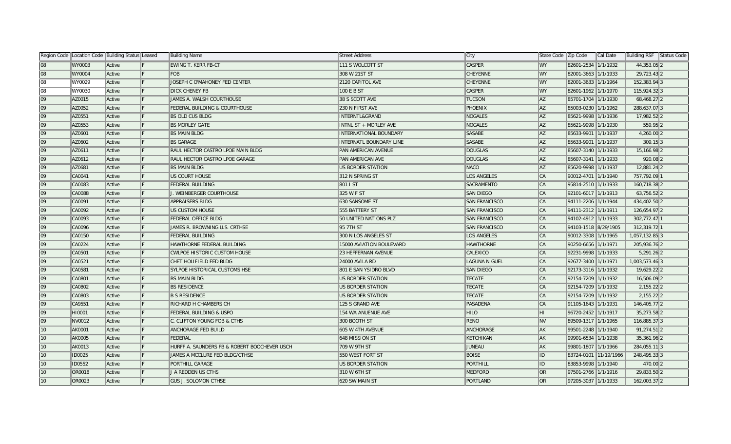|    | Region Code   Location Code   Building Status   Leased |        |   | Building Name                                | Street Address                 | ∥City                | State Code Zip Code     |                       | Cal Date | Building RSF Status Code |
|----|--------------------------------------------------------|--------|---|----------------------------------------------|--------------------------------|----------------------|-------------------------|-----------------------|----------|--------------------------|
| 08 | <b>WY0003</b>                                          | Active |   | <b>EWING T. KERR FB-CT</b>                   | 111 S WOLCOTT ST               | <b>CASPER</b>        | <b>WY</b>               | 82601-2534 1/1/1932   |          | 44,353.05 2              |
| 08 | <b>WY0004</b>                                          | Active |   | FOB                                          | 308 W 21ST ST                  | <b>CHEYENNE</b>      | <b>WY</b>               | 82001-3663 1/1/1933   |          | 29,723.43 2              |
| 08 | WY0029                                                 | Active | F | JOSEPH C O'MAHONEY FED CENTER                | 2120 CAPITOL AVE               | <b>CHEYENNE</b>      | ∥WY                     | 82001-3633 1/1/1964   |          | 152,383.94 3             |
| 08 | WY0030                                                 | Active | F | <b>DICK CHENEY FB</b>                        | 100 E B ST                     | <b>CASPER</b>        | ∥WY                     | 82601-1962 1/1/1970   |          | 115,924.323              |
| 09 | AZ0015                                                 | Active |   | JAMES A. WALSH COURTHOUSE                    | 38 S SCOTT AVE                 | <b>TUCSON</b>        | $\parallel$ AZ          | 85701-1704 1/1/1930   |          | 68,468.27 2              |
| 09 | AZ0052                                                 | Active |   | <b>FEDERAL BUILDING &amp; COURTHOUSE</b>     | 230 N FIRST AVE                | <b>PHOENIX</b>       | $\parallel$ AZ          | 85003-0230 1/1/1962   |          | 288,637.07 3             |
| 09 | AZ0551                                                 | Active |   | <b>BS OLD CUS BLDG</b>                       | <b>INTERNTL&amp;GRAND</b>      | NOGALES              | $\parallel$ AZ          | 85621-9998 1/1/1936   |          | 17,982.522               |
| 09 | AZ0553                                                 | Active |   | <b>BS MORLEY GATE</b>                        | INTNL ST + MORLEY AVE          | <b>NOGALES</b>       | $\parallel$ AZ          | 85621-9998 1/1/1930   |          | 559.95 2                 |
| 09 | AZ0601                                                 | Active |   | <b>BS MAIN BLDG</b>                          | <b>INTERNATIONAL BOUNDARY</b>  | <b>SASABE</b>        | $\overline{A}$          | 85633-9901 1/1/1937   |          | 4,260.00 2               |
| 09 | AZ0602                                                 | Active |   | <b>BS GARAGE</b>                             | <b>INTERNATL BOUNDARY LINE</b> | <b>SASABE</b>        | $\overline{A}$          | 85633-9901 1/1/1937   |          | $309.15$ 3               |
| 09 | AZ0611                                                 | Active |   | RAUL HECTOR CASTRO LPOE MAIN BLDG            | PAN AMERICAN AVENUE            | <b>DOUGLAS</b>       | $\parallel$ AZ          | 85607-3140 1/1/1933   |          | 15,166.98 2              |
| 09 | AZ0612                                                 | Active |   | RAUL HECTOR CASTRO LPOE GARAGE               | PAN AMERICAN AVE               | <b>DOUGLAS</b>       | $\parallel$ AZ          | 85607-3141 1/1/1933   |          | $920.08$  2              |
| 09 | AZ0681                                                 | Active |   | <b>BS MAIN BLDG</b>                          | US BORDER STATION              | <b>NACO</b>          | $\parallel$ AZ          | 85620-9998 1/1/1937   |          | 12,881.24 2              |
| 09 | CA0041                                                 | Active |   | US COURT HOUSE                               | 312 N SPRING ST                | <b>LOS ANGELES</b>   | $\ $ CA                 | 90012-4701 1/1/1940   |          | 757,792.09 1             |
| 09 | CA0083                                                 | Active |   | <b>FEDERAL BUILDING</b>                      | 801 I ST                       | SACRAMENTO           | $\ $ CA                 | 95814-2510 1/1/1933   |          | 160,718.38 2             |
| 09 | <b>CA0088</b>                                          | Active | F | J. WEINBERGER COURTHOUSE                     | 325 W F ST                     | <b>SAN DIEGO</b>     | $\ $ CA                 | 92101-6017 1/1/1913   |          | 63,756.52 2              |
| 09 | CA0091                                                 | Active |   | <b>APPRAISERS BLDG</b>                       | 630 SANSOME ST                 | <b>SAN FRANCISCO</b> | $\ CA$                  | 94111-2206   1/1/1944 |          | 434,402.50 2             |
| 09 | CA0092                                                 | Active |   | US CUSTOM HOUSE                              | 555 BATTERY ST                 | <b>SAN FRANCISCO</b> | $\ CA\ $                | 94111-2312  1/1/1911  |          | 126,654.97 2             |
| 09 | CA0093                                                 | Active |   | FEDERAL OFFICE BLDG                          | 50 UNITED NATIONS PLZ          | <b>SAN FRANCISCO</b> | $\ CA\ $                | 94102-4912 1/1/1933   |          | 302,772.47 1             |
| 09 | CA0096                                                 | Active |   | JAMES R. BROWNING U.S. CRTHSE                | 95 7TH ST                      | <b>SAN FRANCISCO</b> | $\ CA$                  | 94103-1518 8/29/1905  |          | 312,319.72 1             |
| 09 | CA0150                                                 | Active |   | <b>FEDERAL BUILDING</b>                      | 300 N LOS ANGELES ST           | LOS ANGELES          | $\ CA\ $                | 90012-3308 1/1/1965   |          | 1,057,132.85 3           |
| 09 | CA0224                                                 | Active |   | HAWTHORNE FEDERAL BUILDING                   | 15000 AVIATION BOULEVARD       | <b>HAWTHORNE</b>     | $\ $ CA                 | 90250-6656 1/1/1971   |          | 205,936.76 2             |
| 09 | CA0501                                                 | Active |   | <b>CWLPOE HISTORIC CUSTOM HOUSE</b>          | 23 HEFFERNAN AVENUE            | CALEXICO             | $\ $ CA                 | 92231-9998 1/1/1933   |          | $5,291.26$  2            |
| 09 | CA0521                                                 | Active |   | CHET HOLIFIELD FED BLDG                      | 24000 AVILA RD                 | <b>LAGUNA NIGUEL</b> | $\ CA\ $                | 92677-3400 1/1/1971   |          | 1,003,573.46 3           |
| 09 | CA0581                                                 | Active |   | <b>SYLPOE HISTORICAL CUSTOMS HSE</b>         | 801 E SAN YSIDRO BLVD          | <b>SAN DIEGO</b>     | $\ CA\ $                | 92173-3116 1/1/1932   |          | 19,629.22 2              |
| 09 | CA0801                                                 | Active |   | <b>BS MAIN BLDG</b>                          | US BORDER STATION              | <b>TECATE</b>        | $\ CA\ $                | 92154-7209 1/1/1932   |          | 16,506.09 2              |
| 09 | CA0802                                                 | Active |   | <b>BS RESIDENCE</b>                          | US BORDER STATION              | <b>TECATE</b>        | $\ $ CA                 | 92154-7209 1/1/1932   |          | $2,155.22$  2            |
| 09 | CA0803                                                 | Active |   | <b>B S RESIDENCE</b>                         | US BORDER STATION              | <b>TECATE</b>        | $\ $ CA                 | 92154-7209 1/1/1932   |          | $2,155.22$ 2             |
| 09 | CA9551                                                 | Active |   | RICHARD H CHAMBERS CH                        | 125 S GRAND AVE                | PASADENA             | $\ $ CA                 | 91105-1643 1/1/1931   |          | 146,405.77 2             |
| 09 | HI0001                                                 | Active |   | <b>FEDERAL BUILDING &amp; USPO</b>           | 154 WAIANUENUE AVE             | <b>HILO</b>          | IHI.                    | 96720-2452 1/1/1917   |          | 35,273.58 2              |
| 09 | NV0012                                                 | Active |   | C. CLIFTON YOUNG FOB & CTHS                  | 300 BOOTH ST                   | <b>RENO</b>          | $\overline{\mathbb{N}}$ | 89509-1317 1/1/1965   |          | 116,885.373              |
| 10 | AK0001                                                 | Active |   | ANCHORAGE FED BUILD                          | 605 W 4TH AVENUE               | ANCHORAGE            | $\parallel$ AK          | 99501-2248 1/1/1940   |          | 91,274.51 2              |
| 10 | AK0005                                                 | Active |   | FEDERAL                                      | 648 MISSION ST                 | KETCHIKAN            | $\parallel$ AK          | 99901-6534 1/1/1938   |          | 35,361.96 2              |
| 10 | <b>AK0013</b>                                          | Active |   | HURFF A. SAUNDERS FB & ROBERT BOOCHEVER USCH | 709 W 9TH ST                   | <b>JUNEAU</b>        | ∥AK                     | 99801-1807 1/1/1966   |          | 284,055.11 3             |
| 10 | <b>ID0025</b>                                          | Active |   | JAMES A MCCLURE FED BLDG/CTHSE               | 550 WEST FORT ST               | <b>BOISE</b>         | ID.                     | 83724-0101 11/19/1966 |          | 248,495.33 3             |
| 10 | ID0552                                                 | Active |   | PORTHILL GARAGE                              | US BORDER STATION              | <b>PORTHILL</b>      | ID.                     | 83853-9998 1/1/1940   |          | 470.00 2                 |
| 10 | <b>OR0018</b>                                          | Active |   | J A REDDEN US CTHS                           | 310 W 6TH ST                   | <b>MEDFORD</b>       | $\overline{O}$          | 97501-2766 1/1/1916   |          | 29,833.50 2              |
| 10 | OR0023                                                 | Active |   | <b>GUS J. SOLOMON CTHSE</b>                  | 620 SW MAIN ST                 | PORTLAND             | <b>OR</b>               | 97205-3037 1/1/1933   |          | 162,003.37 2             |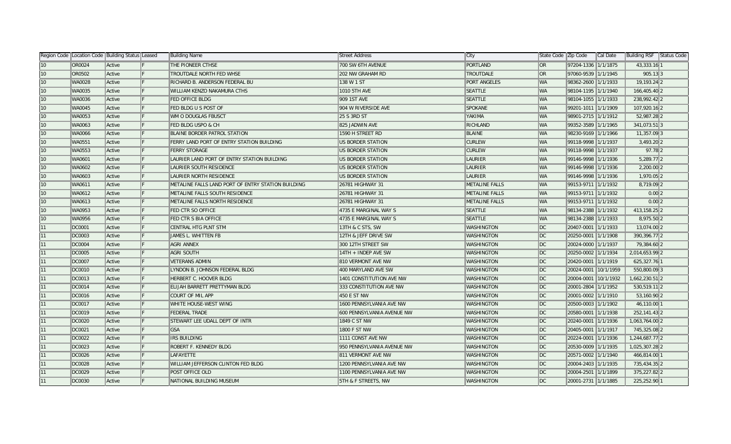|                 | Region Code   Location Code   Building Status   Leased |        | <b>Building Name</b>                               | <b>Street Address</b>      | ∥City                 | State Code Zip Code |                      | Cal Date | Building RSF Status Code |  |
|-----------------|--------------------------------------------------------|--------|----------------------------------------------------|----------------------------|-----------------------|---------------------|----------------------|----------|--------------------------|--|
| 10 <sup>°</sup> | OR0024                                                 | Active | THE PIONEER CTHSE                                  | 700 SW 6TH AVENUE          | PORTLAND              | ∥OR                 | 97204-1336 1/1/1875  |          | 43,333.16 1              |  |
| 10              | OR0502                                                 | Active | TROUTDALE NORTH FED WHSE                           | 202 NW GRAHAM RD           | <b>TROUTDALE</b>      | OR <sub>1</sub>     | 97060-9539 1/1/1945  |          | $905.13$ 3               |  |
| 10              | <b>WA0028</b>                                          | Active | RICHARD B. ANDERSON FEDERAL BU                     | 138 W 1 ST                 | <b>PORT ANGELES</b>   | <b>WA</b>           | 98362-2600 1/1/1933  |          | 19,193.24 2              |  |
| 10              | <b>WA0035</b>                                          | Active | WILLIAM KENZO NAKAMURA CTHS                        | 1010 5TH AVE               | <b>SEATTLE</b>        | WA                  | 98104-1195 1/1/1940  |          | 166,405.40 2             |  |
| 10              | <b>WA0036</b>                                          | Active | <b>FED OFFICE BLDG</b>                             | 909 1ST AVE                | <b>SEATTLE</b>        | WA                  | 98104-1055 1/1/1933  |          | 238,992.42 2             |  |
| 10              | <b>WA0045</b>                                          | Active | FED BLDG U S POST OF                               | 904 W RIVERSIDE AVE        | <b>SPOKANE</b>        | <b>WA</b>           | 99201-1011 1/1/1909  |          | 107,920.16 2             |  |
| 10              | <b>WA0053</b>                                          | Active | WM O DOUGLAS FBUSCT                                | 25 S 3RD ST                | YAKIMA                | WA                  | 98901-2715 1/1/1912  |          | 52,987.28 2              |  |
| 10 <sup>°</sup> | <b>WA0063</b>                                          | Active | FED BLDG USPO & CH                                 | 825 JADWIN AVE             | RICHLAND              | WA                  | 99352-3589 1/1/1965  |          | 341,073.51 3             |  |
| 10              | <b>WA0066</b>                                          | Active | <b>BLAINE BORDER PATROL STATION</b>                | 1590 H STREET RD           | <b>BLAINE</b>         | WA                  | 98230-9169 1/1/1966  |          | 11,357.09 3              |  |
| 10              | WA0551                                                 | Active | FERRY LAND PORT OF ENTRY STATION BUILDING          | US BORDER STATION          | <b>CURLEW</b>         | WA                  | 99118-9998 1/1/1937  |          | $3,493.20$  2            |  |
| 10              | <b>WA0553</b>                                          | Active | <b>FERRY STORAGE</b>                               | US BORDER STATION          | <b>CURLEW</b>         | WA                  | 99118-9998 1/1/1937  |          | $97.78$  2               |  |
| 10              | <b>WA0601</b>                                          | Active | LAURIER LAND PORT OF ENTRY STATION BUILDING        | US BORDER STATION          | LAURIER               | WA                  | 99146-9998 1/1/1936  |          | 5,289.77 2               |  |
| 10              | <b>WA0602</b>                                          | Active | LAURIER SOUTH RESIDENCE                            | US BORDER STATION          | LAURIER               | <b>WA</b>           | 99146-9998 1/1/1936  |          | 2,200.00 2               |  |
| 10              | <b>WA0603</b>                                          | Active | LAURIER NORTH RESIDENCE                            | US BORDER STATION          | LAURIER               | WA                  | 99146-9998 1/1/1936  |          | 1,970.05 2               |  |
| 10              | WA0611                                                 | Active | METALINE FALLS LAND PORT OF ENTRY STATION BUILDING | 26781 HIGHWAY 31           | <b>METALINE FALLS</b> | WA                  | 99153-9711 1/1/1932  |          | 8,719.09 2               |  |
| 10              | <b>WA0612</b>                                          | Active | METALINE FALLS SOUTH RESIDENCE                     | 26781 HIGHWAY 31           | <b>METALINE FALLS</b> | WA                  | 99153-9711 1/1/1932  |          | $0.00$  2                |  |
| 10              | <b>WA0613</b>                                          | Active | METALINE FALLS NORTH RESIDENCE                     | 26781 HIGHWAY 31           | <b>METALINE FALLS</b> | WA                  | 99153-9711 1/1/1932  |          | $0.00$  2                |  |
| 10              | <b>WA0953</b>                                          | Active | <b>FED CTR SO OFFICE</b>                           | 4735 E MARGINAL WAY S      | <b>SEATTLE</b>        | <b>WA</b>           | 98134-2388 1/1/1932  |          | 413, 158. 25 2           |  |
| 10 <sup>°</sup> | <b>WA0956</b>                                          | Active | <b>FED CTR S BIA OFFICE</b>                        | 4735 E MARGINAL WAY S      | <b>SEATTLE</b>        | WA                  | 98134-2388 1/1/1933  |          | 8,975.50 2               |  |
| 11              | DC0001                                                 | Active | CENTRAL HTG PLNT STM                               | 13TH & C STS, SW           | <b>WASHINGTON</b>     | DC                  | 20407-0001 1/1/1933  |          | 13,074.00 2              |  |
| 11              | DC0003                                                 | Active | JAMES L. WHITTEN FB                                | 12TH & JEFF DRIVE SW       | <b>WASHINGTON</b>     | DC                  | 20250-0001 1/1/1908  |          | 390,396.77 2             |  |
| 11              | DC0004                                                 | Active | AGRI ANNEX                                         | 300 12TH STREET SW         | <b>WASHINGTON</b>     | DC                  | 20024-0000 1/1/1937  |          | 79,384.60 2              |  |
| 11              | DC0005                                                 | Active | AGRI SOUTH                                         | 14TH + INDEP AVE SW        | <b>WASHINGTON</b>     | DC                  | 20250-0002 1/1/1934  |          | 2,014,653.99 2           |  |
| 11              | DC0007                                                 | Active | <b>VETERANS ADMIN</b>                              | 810 VERMONT AVE NW         | <b>WASHINGTON</b>     | DC                  | 20420-0001 1/1/1919  |          | 625,327.76 1             |  |
| 11              | DC0010                                                 | Active | LYNDON B. JOHNSON FEDERAL BLDG                     | 400 MARYLAND AVE SW        | <b>WASHINGTON</b>     | DC                  | 20024-0001 10/1/1959 |          | 550,800.09 3             |  |
| 11              | DC0013                                                 | Active | HERBERT C. HOOVER BLDG                             | 1401 CONSTITUTION AVE NW   | <b>WASHINGTON</b>     | DC                  | 20004-0001 10/1/1932 |          | 1,662,230.51 2           |  |
| 11              | DC0014                                                 | Active | ELIJAH BARRETT PRETTYMAN BLDG                      | 333 CONSTITUTION AVE NW    | <b>WASHINGTON</b>     | DC                  | 20001-2804 1/1/1952  |          | 530,519.11 2             |  |
| 11              | DC0016                                                 | Active | <b>COURT OF MIL APP</b>                            | 450 E ST NW                | <b>WASHINGTON</b>     | DC                  | 20001-0002 1/1/1910  |          | 53,160.90 2              |  |
| 11              | DC0017                                                 | Active | WHITE HOUSE-WEST WING                              | 1600 PENNSYLVANIA AVE NW   | <b>WASHINGTON</b>     | DC                  | 20500-0003 1/1/1902  |          | 46,110.00 1              |  |
| 11              | DC0019                                                 | Active | <b>FEDERAL TRADE</b>                               | 600 PENNSYLVANIA AVENUE NW | <b>WASHINGTON</b>     | DC                  | 20580-0001 1/1/1938  |          | 252,141.43 2             |  |
| 11              | DC0020                                                 | Active | STEWART LEE UDALL DEPT OF INTR                     | 1849 C ST NW               | <b>WASHINGTON</b>     | DC                  | 20240-0001 1/1/1936  |          | 1,063,764.00 2           |  |
| 11              | DC0021                                                 | Active | <b>GSA</b>                                         | 1800 F ST NW               | <b>WASHINGTON</b>     | DC                  | 20405-0001 1/1/1917  |          | 745,325.08 2             |  |
| 11              | DC0022                                                 | Active | IRS BUILDING                                       | 1111 CONST AVE NW          | <b>WASHINGTON</b>     | DC                  | 20224-0001 1/1/1936  |          | 1,244,687.77 2           |  |
| 11              | DC0023                                                 | Active | <b>ROBERT F. KENNEDY BLDG</b>                      | 950 PENNSYLVANIA AVENUE NW | <b>WASHINGTON</b>     | DC                  | 20530-0009 1/1/1935  |          | 1,025,307.28 2           |  |
| 11              | DC0026                                                 | Active | LAFAYETTE                                          | 811 VERMONT AVE NW         | <b>WASHINGTON</b>     | DC                  | 20571-0002 1/1/1940  |          | 466,814.00 1             |  |
| 11              | DC0028                                                 | Active | WILLIAM JEFFERSON CLINTON FED BLDG                 | 1200 PENNSYLVANIA AVE NW   | <b>WASHINGTON</b>     | DC                  | 20004-2403 1/1/1935  |          | 735,434.35 2             |  |
| 11              | DC0029                                                 | Active | <b>POST OFFICE OLD</b>                             | 1100 PENNSYLVANIA AVE NW   | <b>WASHINGTON</b>     | DC                  | 20004-2501 1/1/1899  |          | 375,227.82 2             |  |
| 11              | DC0030                                                 | Active | NATIONAL BUILDING MUSEUM                           | 5TH & F STREETS, NW        | <b>WASHINGTON</b>     | DC                  | 20001-2731 1/1/1885  |          | 225,252.90 1             |  |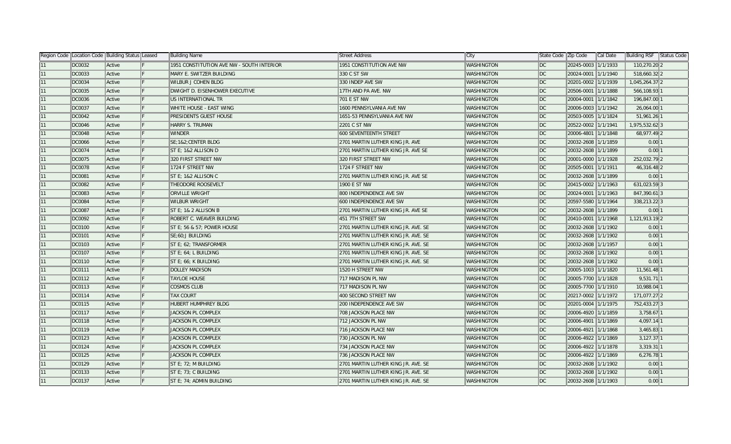|    | Region Code   Location Code   Building Status   Leased |        | Building Name                             | Street Address                      | City              | State Code Zip Code     |                     | Cal Date | Building RSF Status Code |  |
|----|--------------------------------------------------------|--------|-------------------------------------------|-------------------------------------|-------------------|-------------------------|---------------------|----------|--------------------------|--|
|    | DC0032                                                 | Active | 1951 CONSTITUTION AVE NW - SOUTH INTERIOR | 1951 CONSTITUTION AVE NW            | <b>WASHINGTON</b> | $\overline{\mathsf{p}}$ | 20245-0003 1/1/1933 |          | 110,270.20 2             |  |
| 11 | DC0033                                                 | Active | MARY E. SWITZER BUILDING                  | 330 C ST SW                         | <b>WASHINGTON</b> | DC                      | 20024-0001 1/1/1940 |          | 518,660.32 2             |  |
| 11 | DC0034                                                 | Active | <b>WILBUR J COHEN BLDG</b>                | 330 INDEP AVE SW                    | <b>WASHINGTON</b> | DC                      | 20201-0002 1/1/1939 |          | 1,045,264.37 2           |  |
| 11 | DC0035                                                 | Active | DWIGHT D. EISENHOWER EXECUTIVE            | 17TH AND PA AVE. NW                 | <b>WASHINGTON</b> | DC                      | 20506-0001 1/1/1888 |          | 566,108.93 1             |  |
| 11 | DC0036                                                 | Active | US INTERNATIONAL TR                       | <b>701 E ST NW</b>                  | <b>WASHINGTON</b> | DC                      | 20004-0001 1/1/1842 |          | 196,847.00 1             |  |
| 11 | DC0037                                                 | Active | WHITE HOUSE - EAST WING                   | 1600 PENNSYLVANIA AVE NW            | <b>WASHINGTON</b> | DC                      | 20006-0003 1/1/1942 |          | 26,064.00 1              |  |
| 11 | DC0042                                                 | Active | PRESIDENTS GUEST HOUSE                    | 1651-53 PENNSYLVANIA AVE NW         | WASHINGTON        | DC                      | 20503-0005 1/1/1824 |          | 51,961.26 1              |  |
| 11 | DC0046                                                 | Active | HARRY S. TRUMAN                           | 2201 C ST NW                        | WASHINGTON        | DC                      | 20522-0002 1/1/1941 |          | 1,975,532.623            |  |
| 11 | DC0048                                                 | Active | <b>WINDER</b>                             | 600 SEVENTEENTH STREET              | WASHINGTON        | DC                      | 20006-4801 1/1/1848 |          | 68,977.49 2              |  |
| 11 | <b>DC0066</b>                                          | Active | SE:1&2:CENTER BLDG                        | 2701 MARTIN LUTHER KING JR. AVE     | WASHINGTON        | DC                      | 20032-2608 1/1/1859 |          | $0.00$   1               |  |
|    | DC0074                                                 | Active | ST E; 1&2 ALLISON D                       | 2701 MARTIN LUTHER KING JR. AVE SE  | WASHINGTON        | DC                      | 20032-2608 1/1/1899 |          | $0.00$  1                |  |
|    | DC0075                                                 | Active | 320 FIRST STREET NW                       | 320 FIRST STREET NW                 | <b>WASHINGTON</b> | DC                      | 20001-0000 1/1/1928 |          | 252,032.79 2             |  |
|    | DC0078                                                 | Active | 1724 F STREET NW                          | 1724 F STREET NW                    | <b>WASHINGTON</b> | DC                      | 20505-0001 1/1/1911 |          | 46,316.48 2              |  |
|    | <b>DC0081</b>                                          | Active | ST E: 1&2 ALLISON C                       | 2701 MARTIN LUTHER KING JR. AVE SE  | <b>WASHINGTON</b> | DC                      | 20032-2608 1/1/1899 |          | $0.00$   1               |  |
| 11 | <b>DC0082</b>                                          | Active | <b>THEODORE ROOSEVELT</b>                 | 1900 E ST NW                        | <b>WASHINGTON</b> | DC                      | 20415-0002 1/1/1963 |          | 631,023.593              |  |
| 11 | DC0083                                                 | Active | <b>ORVILLE WRIGHT</b>                     | 800 INDEPENDENCE AVE SW             | <b>WASHINGTON</b> | DC                      | 20024-0001 1/1/1963 |          | 847,390.61 3             |  |
| 11 | <b>DC0084</b>                                          | Active | <b>WILBUR WRIGHT</b>                      | 600 INDEPENDENCE AVE SW             | <b>WASHINGTON</b> | DC                      | 20597-5580 1/1/1964 |          | 338,213.22 3             |  |
| 11 | <b>DC0087</b>                                          | Active | ST E: 1& 2 ALLISON B                      | 2701 MARTIN LUTHER KING JR. AVE SE  | <b>WASHINGTON</b> | DC                      | 20032-2608 1/1/1899 |          | $0.00$  1                |  |
| 11 | DC0092                                                 | Active | ROBERT C. WEAVER BUILDING                 | 451 7TH STREET SW                   | WASHINGTON        | DC                      | 20410-0001 1/1/1968 |          | 1,121,913.19 2           |  |
| 11 | DC0100                                                 | Active | ST E; 56 & 57; POWER HOUSE                | 2701 MARTIN LUTHER KING JR. AVE. SE | WASHINGTON        | DC                      | 20032-2608 1/1/1902 |          | $0.00$   1               |  |
| 11 | DC0101                                                 | Active | SE;60;J BUILDING                          | 2701 MARTIN LUTHER KING JR. AVE. SE | WASHINGTON        | DC                      | 20032-2608 1/1/1902 |          | $0.00$   1               |  |
| 11 | DC0103                                                 | Active | ST E; 62; TRANSFORMER                     | 2701 MARTIN LUTHER KING JR. AVE. SE | WASHINGTON        | $\overline{D}C$         | 20032-2608 1/1/1957 |          | $0.00$   1               |  |
|    | DC0107                                                 | Active | ST E; 64; L BUILDING                      | 2701 MARTIN LUTHER KING JR. AVE. SE | WASHINGTON        | DC                      | 20032-2608 1/1/1902 |          | $0.00$   1               |  |
|    | DC0110                                                 | Active | ST E; 66; K BUILDING                      | 2701 MARTIN LUTHER KING JR. AVE. SE | <b>WASHINGTON</b> | $\overline{D}C$         | 20032-2608 1/1/1902 |          | $0.00$   1               |  |
|    | DC0111                                                 | Active | <b>DOLLEY MADISON</b>                     | 1520 H STREET NW                    | <b>WASHINGTON</b> | DC                      | 20005-1003 1/1/1820 |          | 11,561.48 1              |  |
|    | DC0112                                                 | Active | <b>TAYLOE HOUSE</b>                       | 717 MADISON PL NW                   | <b>WASHINGTON</b> | DC                      | 20005-7700 1/1/1828 |          | 9,531.711                |  |
| 11 | DC0113                                                 | Active | <b>COSMOS CLUB</b>                        | 717 MADISON PL NW                   | <b>WASHINGTON</b> | DC                      | 20005-7700 1/1/1910 |          | 10,988.04 1              |  |
| 11 | DC0114                                                 | Active | <b>TAX COURT</b>                          | 400 SECOND STREET NW                | <b>WASHINGTON</b> | DC                      | 20217-0002 1/1/1972 |          | 171,077.27 2             |  |
| 11 | DC0115                                                 | Active | HUBERT HUMPHREY BLDG                      | 200 INDEPENDENCE AVE SW             | <b>WASHINGTON</b> | DC                      | 20201-0004 1/1/1975 |          | 752,433.27 3             |  |
| 11 | DC0117                                                 | Active | JACKSON PL COMPLEX                        | 708 JACKSON PLACE NW                | WASHINGTON        | DC                      | 20006-4920 1/1/1859 |          | $3,758.67$ 1             |  |
| 11 | DC0118                                                 | Active | JACKSON PL COMPLEX                        | 712 JACKSON PL NW                   | WASHINGTON        | DC                      | 20006-4901 1/1/1869 |          | 4,097.14 1               |  |
| 11 | DC0119                                                 | Active | JACKSON PL COMPLEX                        | 716 JACKSON PLACE NW                | WASHINGTON        | DC                      | 20006-4921 1/1/1868 |          | $3,465.83$ 1             |  |
| 11 | DC0123                                                 | Active | <b>JACKSON PL COMPLEX</b>                 | 730 JACKSON PL NW                   | WASHINGTON        | DC                      | 20006-4922 1/1/1869 |          | $3,127.37$ 1             |  |
|    | DC0124                                                 | Active | <b>JACKSON PL COMPLEX</b>                 | 734 JACKSON PLACE NW                | WASHINGTON        | DC                      | 20006-4922 1/1/1878 |          | 3,319.31 1               |  |
|    | DC0125                                                 | Active | <b>JACKSON PL COMPLEX</b>                 | 736 JACKSON PLACE NW                | WASHINGTON        | DC                      | 20006-4922 1/1/1869 |          | $6,276.78$  1            |  |
|    | DC0129                                                 | Active | ST E; 72; M BUILDING                      | 2701 MARTIN LUTHER KING JR. AVE. SE | <b>WASHINGTON</b> | $\overline{D}C$         | 20032-2608 1/1/1902 |          | 0.00 1                   |  |
|    | DC0133                                                 | Active | $ST E$ ; 73; C BUILDING                   | 2701 MARTIN LUTHER KING JR. AVE. SE | WASHINGTON        | $\overline{D}C$         | 20032-2608 1/1/1902 |          | $0.00$   1               |  |
|    | DC0137                                                 | Active | ST E: 74; ADMIN BUILDING                  | 2701 MARTIN LUTHER KING JR. AVE. SE | <b>WASHINGTON</b> | IDC.                    | 20032-2608 1/1/1903 |          | $0.00$  1                |  |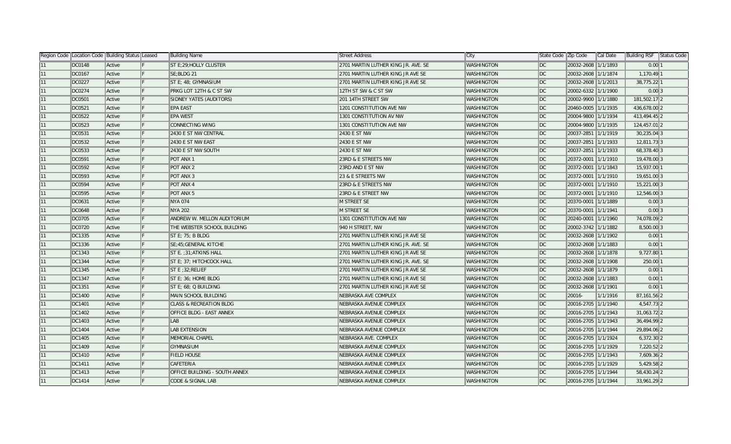|    | Region Code   Location Code   Building Status   Leased |        |     | Building Name                        | <b>Street Address</b>               | ∥City             | State Code Zip Code |                     | Cal Date | Building RSF  | Status Code |
|----|--------------------------------------------------------|--------|-----|--------------------------------------|-------------------------------------|-------------------|---------------------|---------------------|----------|---------------|-------------|
| 11 | DC0148                                                 | Active |     | ST E;29; HOLLY CLUSTER               | 2701 MARTIN LUTHER KING JR. AVE. SE | <b>WASHINGTON</b> | $\parallel$ DC      | 20032-2608 1/1/1893 |          | 0.00 1        |             |
| 11 | DC0167                                                 | Active |     | SE;BLDG 21                           | 2701 MARTIN LUTHER KING JR AVE SE   | <b>WASHINGTON</b> | DC                  | 20032-2608 1/1/1874 |          | 1,170.49 1    |             |
| 11 | DC0227                                                 | Active |     | ST E: 48: GYMNASIUM                  | 2701 MARTIN LUTHER KING JR AVE SE   | <b>WASHINGTON</b> | DC                  | 20032-2608 1/1/2013 |          | 38,775.22 1   |             |
| 11 | DC0274                                                 | Active | IF. | <b>PRKG LOT 12TH &amp; C ST SW</b>   | 12TH ST SW & C ST SW                | <b>WASHINGTON</b> | DC                  | 20002-6332 1/1/1900 |          | $0.00$ 3      |             |
| 11 | DC0501                                                 | Active | IF. | SIDNEY YATES (AUDITORS)              | 201 14TH STREET SW                  | <b>WASHINGTON</b> | DC                  | 20002-9900 1/1/1880 |          | 181,502.17 2  |             |
| 11 | DC0521                                                 | Active |     | EPA EAST                             | 1201 CONSTITUTION AVE NW            | <b>WASHINGTON</b> | DC                  | 20460-0005 1/1/1935 |          | 436,678.00 2  |             |
| 11 | <b>DC0522</b>                                          | Active |     | <b>EPA WEST</b>                      | 1301 CONSTITUTION AV NW             | <b>WASHINGTON</b> | DC                  | 20004-9800 1/1/1934 |          | 413,494.45 2  |             |
| 11 | DC0523                                                 | Active |     | <b>CONNECTING WING</b>               | 1301 CONSTITUTION AVE NW            | <b>WASHINGTON</b> | DC                  | 20004-9800 1/1/1935 |          | 124,457.01 2  |             |
| 11 | DC0531                                                 | Active |     | 2430 E ST NW CENTRAL                 | 2430 E ST NW                        | <b>WASHINGTON</b> | DC                  | 20037-2851 1/1/1919 |          | $30,235.04$ 3 |             |
| 11 | <b>DC0532</b>                                          | Active |     | 2430 E ST NW EAST                    | 2430 E ST NW                        | <b>WASHINGTON</b> | DC                  | 20037-2851 1/1/1933 |          | 12,811.733    |             |
| 11 | DC0533                                                 | Active |     | 2430 E ST NW SOUTH                   | 2430 E ST NW                        | <b>WASHINGTON</b> | DC                  | 20037-2851 1/1/1933 |          | 68,378.40 3   |             |
| 11 | DC0591                                                 | Active |     | POT ANX 1                            | 23RD & E STREETS NW                 | <b>WASHINGTON</b> | DC                  | 20372-0001 1/1/1910 |          | 19,478.00 3   |             |
| 11 | DC0592                                                 | Active |     | POT ANX 2                            | 23RD AND E ST NW                    | <b>WASHINGTON</b> | DC                  | 20372-0001 1/1/1843 |          | 15,937.00 1   |             |
| 11 | DC0593                                                 | Active |     | POT ANX 3                            | 23 & E STREETS NW                   | <b>WASHINGTON</b> | DC                  | 20372-0001 1/1/1910 |          | 19,651.00 3   |             |
| 11 | DC0594                                                 | Active |     | <b>POT ANX 4</b>                     | 23RD & E STREETS NW                 | <b>WASHINGTON</b> | DC                  | 20372-0001 1/1/1910 |          | 15,221.00 3   |             |
| 11 | DC0595                                                 | Active | IF. | POT ANX 5                            | 23RD & E STREET NW                  | <b>WASHINGTON</b> | DC                  | 20372-0001 1/1/1910 |          | 12,546.00 3   |             |
| 11 | DC0631                                                 | Active | IF. | <b>NYA 074</b>                       | M STREET SE                         | <b>WASHINGTON</b> | DC                  | 20370-0001 1/1/1889 |          | $0.00$ 3      |             |
| 11 | <b>DC0648</b>                                          | Active |     | NYA 202                              | <b>M STREET SE</b>                  | <b>WASHINGTON</b> | DC                  | 20370-0001 1/1/1941 |          | $0.00$ 3      |             |
| 11 | DC0705                                                 | Active |     | ANDREW W. MELLON AUDITORIUM          | 1301 CONSTITUTION AVE NW            | <b>WASHINGTON</b> | DC                  | 20240-0001 1/1/1960 |          | 74,078.09 2   |             |
| 11 | <b>DC0720</b>                                          | Active |     | THE WEBSTER SCHOOL BUILDING          | 940 H STREET, NW                    | <b>WASHINGTON</b> | DC                  | 20002-3742 1/1/1882 |          | 8,500.00 3    |             |
| 11 | DC1335                                                 | Active |     | $ST E$ ; 75; B BLDG                  | 2701 MARTIN LUTHER KING JR AVE SE   | <b>WASHINGTON</b> | DC                  | 20032-2608 1/1/1902 |          | 0.00 1        |             |
| 11 | DC1336                                                 | Active |     | SE:45: GENERAL KITCHE                | 2701 MARTIN LUTHER KING JR. AVE. SE | <b>WASHINGTON</b> | DC                  | 20032-2608 1/1/1883 |          | $0.00$   1    |             |
| 11 | DC1343                                                 | Active |     | ST E. : 31: ATKINS HALL              | 2701 MARTIN LUTHER KING JR AVE SE   | <b>WASHINGTON</b> | DC                  | 20032-2608 1/1/1878 |          | 9,727.80 1    |             |
| 11 | DC1344                                                 | Active |     | ST E: 37; HITCHCOCK HALL             | 2701 MARTIN LUTHER KING JR. AVE. SE | <b>WASHINGTON</b> | DC                  | 20032-2608 1/1/1908 |          | 250.00 1      |             |
| 11 | DC1345                                                 | Active |     | ST E ; 32; RELIEF                    | 2701 MARTIN LUTHER KING JR AVE SE   | <b>WASHINGTON</b> | DC                  | 20032-2608 1/1/1879 |          | $0.00$   1    |             |
| 11 | DC1347                                                 | Active |     | ST E; 36; HOME BLDG                  | 2701 MARTIN LUTHER KING JR AVE SE   | <b>WASHINGTON</b> | DC                  | 20032-2608 1/1/1883 |          | 0.00 1        |             |
| 11 | DC1351                                                 | Active | IF. | ST E; 68; Q BUILDING                 | 2701 MARTIN LUTHER KING JR AVE SE   | <b>WASHINGTON</b> | DC                  | 20032-2608 1/1/1901 |          | 0.00 1        |             |
| 11 | DC1400                                                 | Active | IF. | MAIN SCHOOL BUILDING                 | <b>NEBRASKA AVE COMPLEX</b>         | <b>WASHINGTON</b> | DC                  | 20016-              | 1/1/1916 | 87, 161.56 2  |             |
| 11 | DC1401                                                 | Active |     | <b>CLASS &amp; RECREATION BLDG</b>   | NEBRASKA AVENUE COMPLEX             | <b>WASHINGTON</b> | DC                  | 20016-2705 1/1/1940 |          | 4,547.73 2    |             |
| 11 | DC1402                                                 | Active |     | <b>OFFICE BLDG - EAST ANNEX</b>      | NEBRASKA AVENUE COMPLEX             | <b>WASHINGTON</b> | DC                  | 20016-2705 1/1/1943 |          | 31,063.72 2   |             |
| 11 | DC1403                                                 | Active |     | LAB                                  | NEBRASKA AVENUE COMPLEX             | <b>WASHINGTON</b> | DC                  | 20016-2705 1/1/1943 |          | 36,494.99 2   |             |
| 11 | DC1404                                                 | Active |     | <b>LAB EXTENSION</b>                 | NEBRASKA AVENUE COMPLEX             | <b>WASHINGTON</b> | DC                  | 20016-2705 1/1/1944 |          | 29,894.06 2   |             |
| 11 | DC1405                                                 | Active |     | <b>MEMORIAL CHAPEL</b>               | NEBRASKA AVE. COMPLEX               | <b>WASHINGTON</b> | DC                  | 20016-2705 1/1/1924 |          | $6,372.30$  2 |             |
| 11 | DC1409                                                 | Active |     | GYMNASIUM                            | NEBRASKA AVENUE COMPLEX             | <b>WASHINGTON</b> | DC                  | 20016-2705 1/1/1929 |          | 7,220.52 2    |             |
| 11 | DC1410                                                 | Active |     | <b>FIELD HOUSE</b>                   | NEBRASKA AVENUE COMPLEX             | <b>WASHINGTON</b> | DC                  | 20016-2705 1/1/1943 |          | 7,609.36 2    |             |
| 11 | DC1411                                                 | Active |     | <b>CAFETERIA</b>                     | NEBRASKA AVENUE COMPLEX             | <b>WASHINGTON</b> | DC                  | 20016-2705 1/1/1929 |          | 5,429.58 2    |             |
| 11 | DC1413                                                 | Active |     | <b>OFFICE BUILDING - SOUTH ANNEX</b> | NEBRASKA AVENUE COMPLEX             | <b>WASHINGTON</b> | DC                  | 20016-2705 1/1/1944 |          | 58,430.24 2   |             |
| 11 | DC1414                                                 | Active |     | CODE & SIGNAL LAB                    | NEBRASKA AVENUE COMPLEX             | <b>WASHINGTON</b> | DC                  | 20016-2705 1/1/1944 |          | 33,961.29 2   |             |